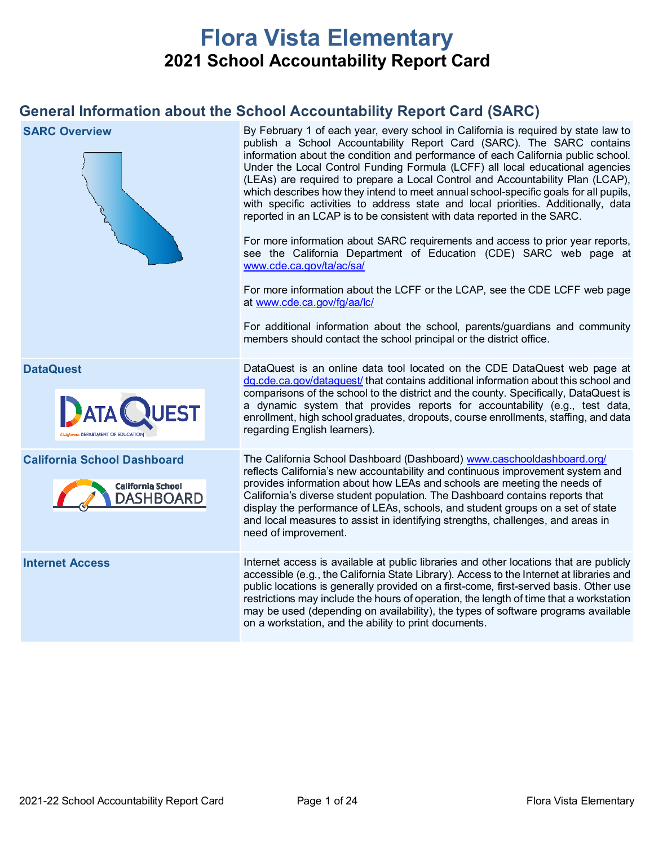# **Flora Vista Elementary 2021 School Accountability Report Card**

## **General Information about the School Accountability Report Card (SARC)**

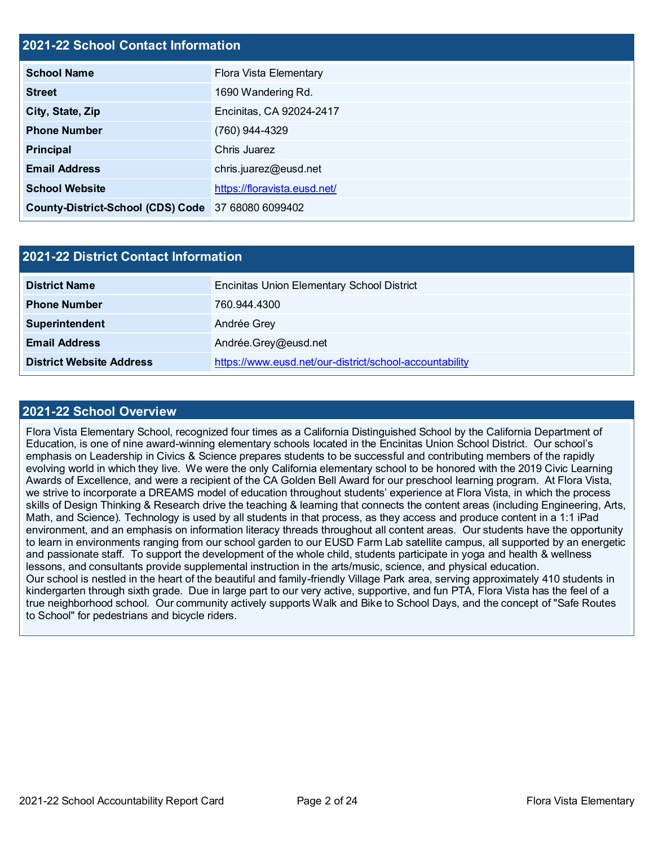## **2021-22 School Contact Information**

| <b>School Name</b>                                 | Flora Vista Elementary       |
|----------------------------------------------------|------------------------------|
| <b>Street</b>                                      | 1690 Wandering Rd.           |
| City, State, Zip                                   | Encinitas, CA 92024-2417     |
| <b>Phone Number</b>                                | (760) 944-4329               |
| <b>Principal</b>                                   | Chris Juarez                 |
| <b>Email Address</b>                               | chris.juarez@eusd.net        |
| <b>School Website</b>                              | https://floravista.eusd.net/ |
| County-District-School (CDS) Code 37 68080 6099402 |                              |

| <b>2021-22 District Contact Information</b> |                                                         |  |  |  |
|---------------------------------------------|---------------------------------------------------------|--|--|--|
| <b>District Name</b>                        | <b>Encinitas Union Elementary School District</b>       |  |  |  |
| <b>Phone Number</b>                         | 760.944.4300                                            |  |  |  |
| Superintendent                              | Andrée Grey                                             |  |  |  |
| <b>Email Address</b>                        | Andrée.Grey@eusd.net                                    |  |  |  |
| <b>District Website Address</b>             | https://www.eusd.net/our-district/school-accountability |  |  |  |

#### **2021-22 School Overview**

Flora Vista Elementary School, recognized four times as a California Distinguished School by the California Department of Education, is one of nine award-winning elementary schools located in the Encinitas Union School District. Our school's emphasis on Leadership in Civics & Science prepares students to be successful and contributing members of the rapidly evolving world in which they live. We were the only California elementary school to be honored with the 2019 Civic Learning Awards of Excellence, and were a recipient of the CA Golden Bell Award for our preschool learning program. At Flora Vista, we strive to incorporate a DREAMS model of education throughout students' experience at Flora Vista, in which the process skills of Design Thinking & Research drive the teaching & learning that connects the content areas (including Engineering, Arts, Math, and Science). Technology is used by all students in that process, as they access and produce content in a 1:1 iPad environment, and an emphasis on information literacy threads throughout all content areas. Our students have the opportunity to learn in environments ranging from our school garden to our EUSD Farm Lab satellite campus, all supported by an energetic and passionate staff. To support the development of the whole child, students participate in yoga and health & wellness lessons, and consultants provide supplemental instruction in the arts/music, science, and physical education. Our school is nestled in the heart of the beautiful and family-friendly Village Park area, serving approximately 410 students in kindergarten through sixth grade. Due in large part to our very active, supportive, and fun PTA, Flora Vista has the feel of a true neighborhood school. Our community actively supports Walk and Bike to School Days, and the concept of "Safe Routes to School" for pedestrians and bicycle riders.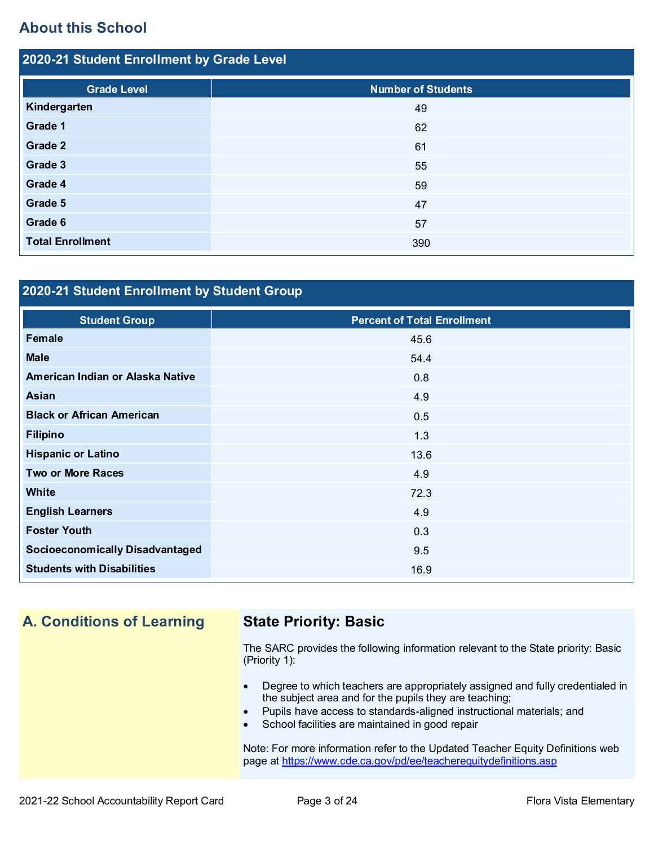## **About this School**

| 2020-21 Student Enrollment by Grade Level |                           |  |  |  |
|-------------------------------------------|---------------------------|--|--|--|
| <b>Grade Level</b>                        | <b>Number of Students</b> |  |  |  |
| Kindergarten                              | 49                        |  |  |  |
| Grade 1                                   | 62                        |  |  |  |
| Grade 2                                   | 61                        |  |  |  |
| Grade 3                                   | 55                        |  |  |  |
| Grade 4                                   | 59                        |  |  |  |
| Grade 5                                   | 47                        |  |  |  |
| Grade 6                                   | 57                        |  |  |  |
| <b>Total Enrollment</b>                   | 390                       |  |  |  |

## **2020-21 Student Enrollment by Student Group**

| <b>Student Group</b>                   | <b>Percent of Total Enrollment</b> |
|----------------------------------------|------------------------------------|
| Female                                 | 45.6                               |
| <b>Male</b>                            | 54.4                               |
| American Indian or Alaska Native       | 0.8                                |
| Asian                                  | 4.9                                |
| <b>Black or African American</b>       | 0.5                                |
| <b>Filipino</b>                        | 1.3                                |
| <b>Hispanic or Latino</b>              | 13.6                               |
| <b>Two or More Races</b>               | 4.9                                |
| <b>White</b>                           | 72.3                               |
| <b>English Learners</b>                | 4.9                                |
| <b>Foster Youth</b>                    | 0.3                                |
| <b>Socioeconomically Disadvantaged</b> | 9.5                                |
| <b>Students with Disabilities</b>      | 16.9                               |

## **A. Conditions of Learning State Priority: Basic**

The SARC provides the following information relevant to the State priority: Basic (Priority 1):

- Degree to which teachers are appropriately assigned and fully credentialed in the subject area and for the pupils they are teaching;
- Pupils have access to standards-aligned instructional materials; and
- School facilities are maintained in good repair

Note: For more information refer to the Updated Teacher Equity Definitions web page at<https://www.cde.ca.gov/pd/ee/teacherequitydefinitions.asp>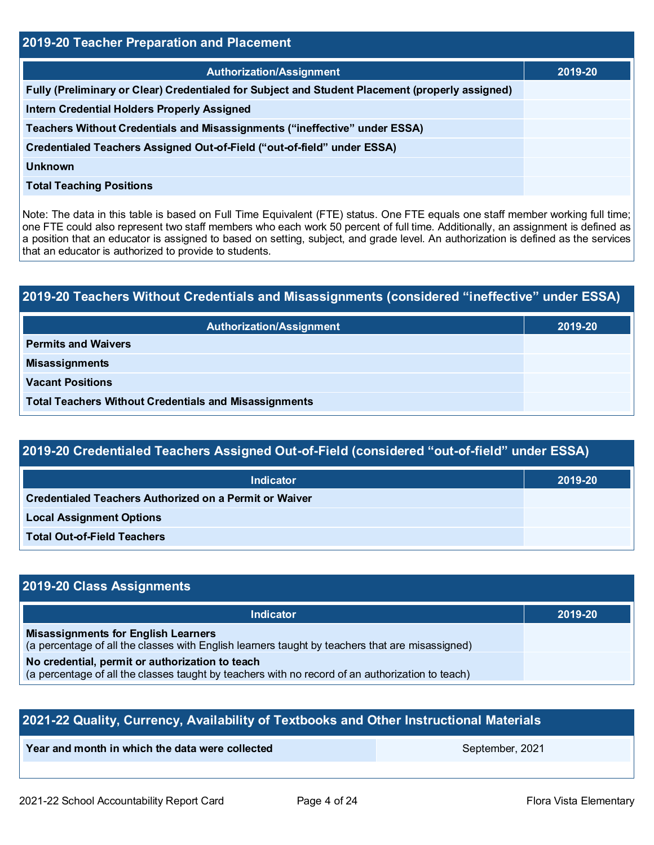| <b>2019-20 Teacher Preparation and Placement</b>                                                |         |  |  |  |
|-------------------------------------------------------------------------------------------------|---------|--|--|--|
| <b>Authorization/Assignment</b>                                                                 | 2019-20 |  |  |  |
| Fully (Preliminary or Clear) Credentialed for Subject and Student Placement (properly assigned) |         |  |  |  |
| <b>Intern Credential Holders Properly Assigned</b>                                              |         |  |  |  |
| Teachers Without Credentials and Misassignments ("ineffective" under ESSA)                      |         |  |  |  |
| Credentialed Teachers Assigned Out-of-Field ("out-of-field" under ESSA)                         |         |  |  |  |
| <b>Unknown</b>                                                                                  |         |  |  |  |
| <b>Total Teaching Positions</b>                                                                 |         |  |  |  |

Note: The data in this table is based on Full Time Equivalent (FTE) status. One FTE equals one staff member working full time; one FTE could also represent two staff members who each work 50 percent of full time. Additionally, an assignment is defined as a position that an educator is assigned to based on setting, subject, and grade level. An authorization is defined as the services that an educator is authorized to provide to students.

## **2019-20 Teachers Without Credentials and Misassignments (considered "ineffective" under ESSA) Authorization/Assignment 2019-20 Permits and Waivers**

**Misassignments** 

**Vacant Positions** 

**Total Teachers Without Credentials and Misassignments**

## **2019-20 Credentialed Teachers Assigned Out-of-Field (considered "out-of-field" under ESSA)**

| <b>Indicator</b>                                       | 2019-20 |
|--------------------------------------------------------|---------|
| Credentialed Teachers Authorized on a Permit or Waiver |         |
| <b>Local Assignment Options</b>                        |         |
| <b>Total Out-of-Field Teachers</b>                     |         |

## **2019-20 Class Assignments**

| <b>Indicator</b>                                                                                                                                    | 2019-20 |
|-----------------------------------------------------------------------------------------------------------------------------------------------------|---------|
| <b>Misassignments for English Learners</b><br>(a percentage of all the classes with English learners taught by teachers that are misassigned)       |         |
| No credential, permit or authorization to teach<br>(a percentage of all the classes taught by teachers with no record of an authorization to teach) |         |

| 2021-22 Quality, Currency, Availability of Textbooks and Other Instructional Materials |                 |  |  |  |
|----------------------------------------------------------------------------------------|-----------------|--|--|--|
| Year and month in which the data were collected                                        | September, 2021 |  |  |  |
|                                                                                        |                 |  |  |  |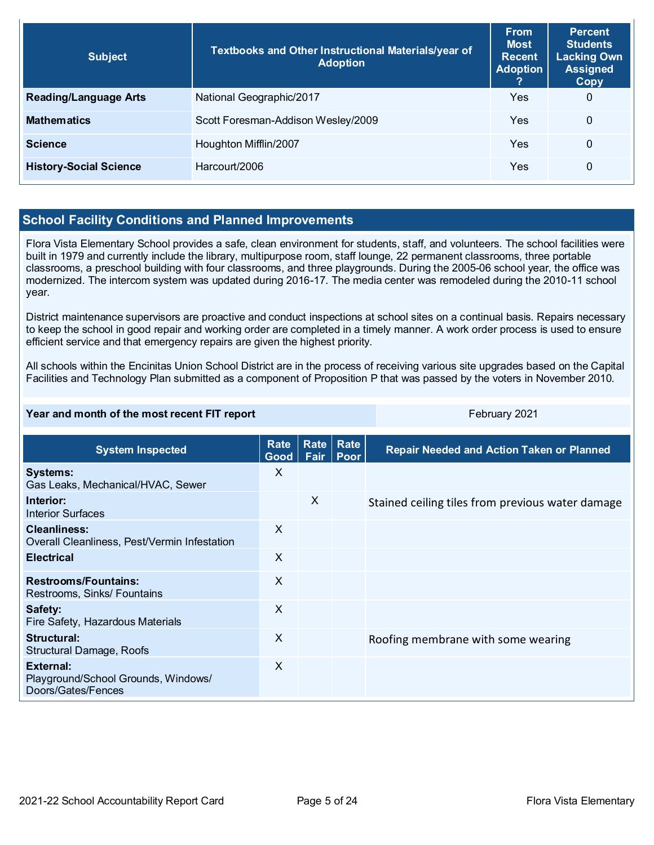| <b>Subject</b>                | Textbooks and Other Instructional Materials/year of<br><b>Adoption</b> | <b>From</b><br><b>Most</b><br><b>Recent</b><br><b>Adoption</b> | <b>Percent</b><br><b>Students</b><br><b>Lacking Own</b><br><b>Assigned</b><br>Copy |
|-------------------------------|------------------------------------------------------------------------|----------------------------------------------------------------|------------------------------------------------------------------------------------|
| <b>Reading/Language Arts</b>  | National Geographic/2017                                               | Yes                                                            | $\mathbf 0$                                                                        |
| <b>Mathematics</b>            | Scott Foresman-Addison Wesley/2009                                     | Yes                                                            | $\Omega$                                                                           |
| <b>Science</b>                | Houghton Mifflin/2007                                                  | Yes                                                            | $\mathbf{0}$                                                                       |
| <b>History-Social Science</b> | Harcourt/2006                                                          | Yes                                                            | $\mathbf 0$                                                                        |

## **School Facility Conditions and Planned Improvements**

Flora Vista Elementary School provides a safe, clean environment for students, staff, and volunteers. The school facilities were built in 1979 and currently include the library, multipurpose room, staff lounge, 22 permanent classrooms, three portable classrooms, a preschool building with four classrooms, and three playgrounds. During the 2005-06 school year, the office was modernized. The intercom system was updated during 2016-17. The media center was remodeled during the 2010-11 school year.

District maintenance supervisors are proactive and conduct inspections at school sites on a continual basis. Repairs necessary to keep the school in good repair and working order are completed in a timely manner. A work order process is used to ensure efficient service and that emergency repairs are given the highest priority.

All schools within the Encinitas Union School District are in the process of receiving various site upgrades based on the Capital Facilities and Technology Plan submitted as a component of Proposition P that was passed by the voters in November 2010.

#### **Year and month of the most recent FIT report** February 2021

| <b>System Inspected</b>                                                | Rate<br>Good | <b>Rate</b><br>Fair | Rate<br><b>Poor</b> | <b>Repair Needed and Action Taken or Planned</b> |
|------------------------------------------------------------------------|--------------|---------------------|---------------------|--------------------------------------------------|
| <b>Systems:</b><br>Gas Leaks, Mechanical/HVAC, Sewer                   | X            |                     |                     |                                                  |
| Interior:<br>Interior Surfaces                                         |              | X                   |                     | Stained ceiling tiles from previous water damage |
| <b>Cleanliness:</b><br>Overall Cleanliness, Pest/Vermin Infestation    | X            |                     |                     |                                                  |
| <b>Electrical</b>                                                      | $\times$     |                     |                     |                                                  |
| <b>Restrooms/Fountains:</b><br>Restrooms, Sinks/ Fountains             | X            |                     |                     |                                                  |
| Safety:<br>Fire Safety, Hazardous Materials                            | X            |                     |                     |                                                  |
| Structural:<br>Structural Damage, Roofs                                | X            |                     |                     | Roofing membrane with some wearing               |
| External:<br>Playground/School Grounds, Windows/<br>Doors/Gates/Fences | X            |                     |                     |                                                  |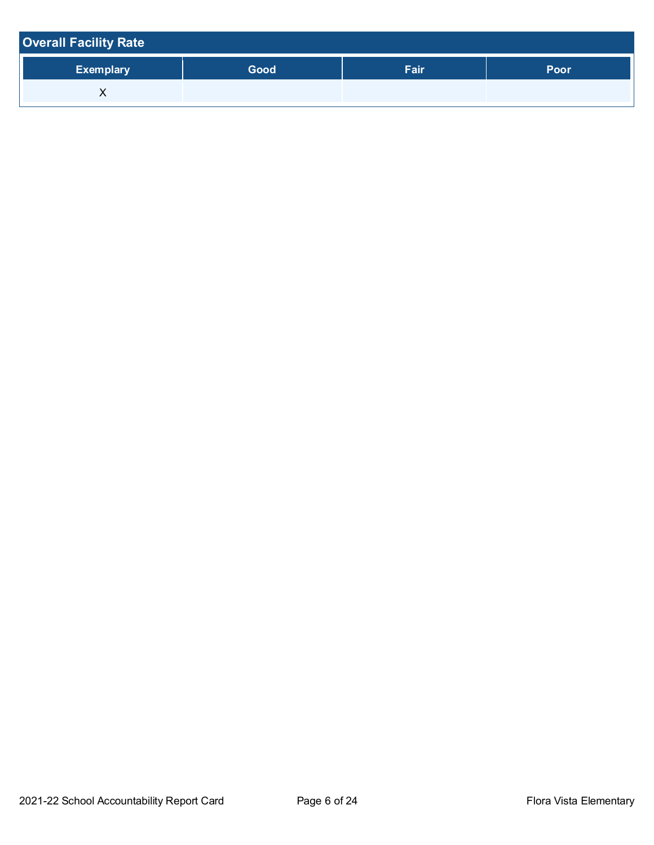| <b>Overall Facility Rate</b> |      |      |      |
|------------------------------|------|------|------|
| <b>Exemplary</b>             | Good | Fair | Poor |
| ⌒                            |      |      |      |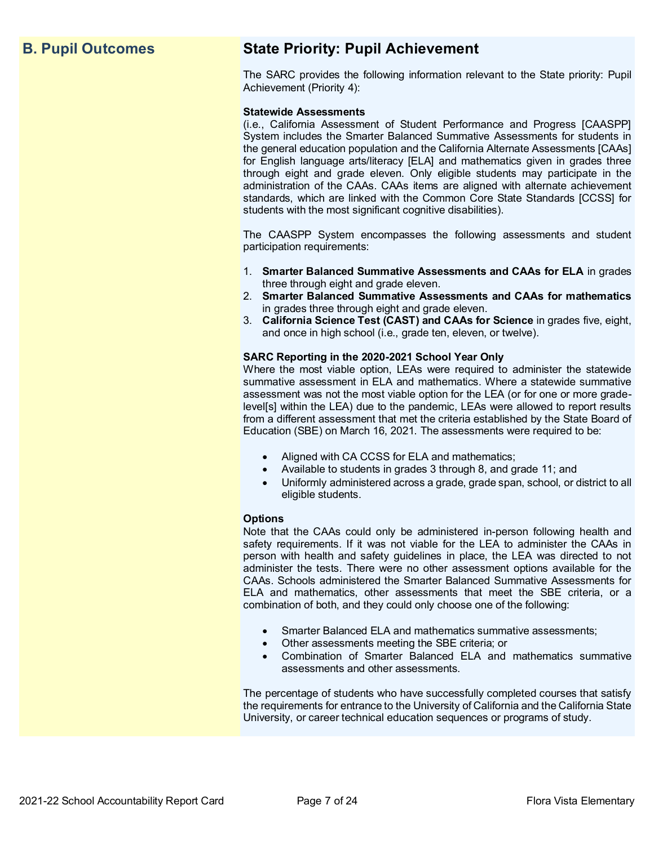## **B. Pupil Outcomes State Priority: Pupil Achievement**

The SARC provides the following information relevant to the State priority: Pupil Achievement (Priority 4):

#### **Statewide Assessments**

(i.e., California Assessment of Student Performance and Progress [CAASPP] System includes the Smarter Balanced Summative Assessments for students in the general education population and the California Alternate Assessments [CAAs] for English language arts/literacy [ELA] and mathematics given in grades three through eight and grade eleven. Only eligible students may participate in the administration of the CAAs. CAAs items are aligned with alternate achievement standards, which are linked with the Common Core State Standards [CCSS] for students with the most significant cognitive disabilities).

The CAASPP System encompasses the following assessments and student participation requirements:

- 1. **Smarter Balanced Summative Assessments and CAAs for ELA** in grades three through eight and grade eleven.
- 2. **Smarter Balanced Summative Assessments and CAAs for mathematics** in grades three through eight and grade eleven.
- 3. **California Science Test (CAST) and CAAs for Science** in grades five, eight, and once in high school (i.e., grade ten, eleven, or twelve).

#### **SARC Reporting in the 2020-2021 School Year Only**

Where the most viable option, LEAs were required to administer the statewide summative assessment in ELA and mathematics. Where a statewide summative assessment was not the most viable option for the LEA (or for one or more gradelevel[s] within the LEA) due to the pandemic, LEAs were allowed to report results from a different assessment that met the criteria established by the State Board of Education (SBE) on March 16, 2021. The assessments were required to be:

- Aligned with CA CCSS for ELA and mathematics;
- Available to students in grades 3 through 8, and grade 11; and
- Uniformly administered across a grade, grade span, school, or district to all eligible students.

#### **Options**

Note that the CAAs could only be administered in-person following health and safety requirements. If it was not viable for the LEA to administer the CAAs in person with health and safety guidelines in place, the LEA was directed to not administer the tests. There were no other assessment options available for the CAAs. Schools administered the Smarter Balanced Summative Assessments for ELA and mathematics, other assessments that meet the SBE criteria, or a combination of both, and they could only choose one of the following:

- Smarter Balanced ELA and mathematics summative assessments;
- Other assessments meeting the SBE criteria; or
- Combination of Smarter Balanced ELA and mathematics summative assessments and other assessments.

The percentage of students who have successfully completed courses that satisfy the requirements for entrance to the University of California and the California State University, or career technical education sequences or programs of study.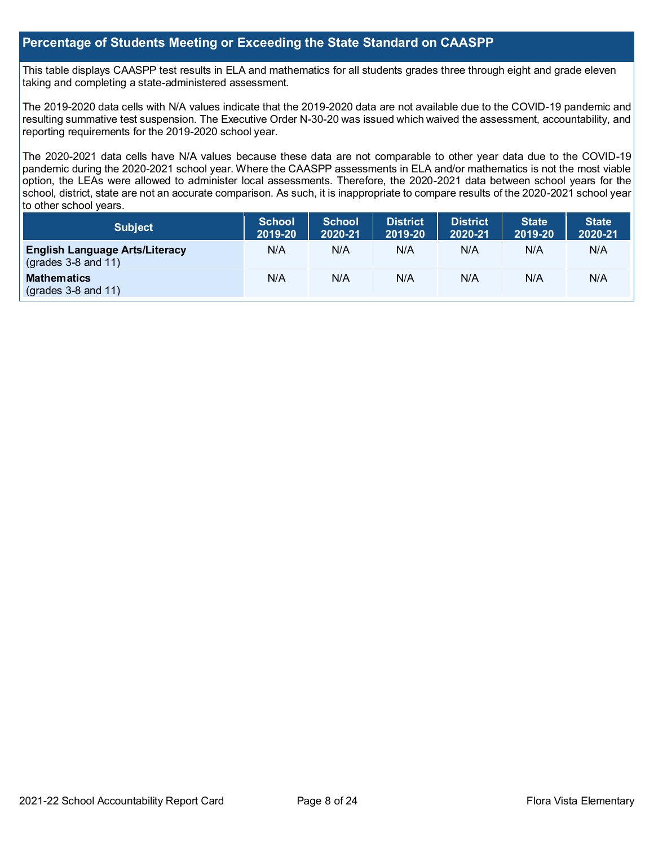### **Percentage of Students Meeting or Exceeding the State Standard on CAASPP**

This table displays CAASPP test results in ELA and mathematics for all students grades three through eight and grade eleven taking and completing a state-administered assessment.

The 2019-2020 data cells with N/A values indicate that the 2019-2020 data are not available due to the COVID-19 pandemic and resulting summative test suspension. The Executive Order N-30-20 was issued which waived the assessment, accountability, and reporting requirements for the 2019-2020 school year.

The 2020-2021 data cells have N/A values because these data are not comparable to other year data due to the COVID-19 pandemic during the 2020-2021 school year. Where the CAASPP assessments in ELA and/or mathematics is not the most viable option, the LEAs were allowed to administer local assessments. Therefore, the 2020-2021 data between school years for the school, district, state are not an accurate comparison. As such, it is inappropriate to compare results of the 2020-2021 school year to other school years.

| <b>Subject</b>                                                       | <b>School</b><br>2019-20 | <b>School</b><br>2020-21 | <b>District</b><br>2019-20 | <b>District</b><br>2020-21 | <b>State</b><br>2019-20 | <b>State</b><br>2020-21 |
|----------------------------------------------------------------------|--------------------------|--------------------------|----------------------------|----------------------------|-------------------------|-------------------------|
| <b>English Language Arts/Literacy</b><br>$\left($ grades 3-8 and 11) | N/A                      | N/A                      | N/A                        | N/A                        | N/A                     | N/A                     |
| <b>Mathematics</b><br>$\left($ grades 3-8 and 11)                    | N/A                      | N/A                      | N/A                        | N/A                        | N/A                     | N/A                     |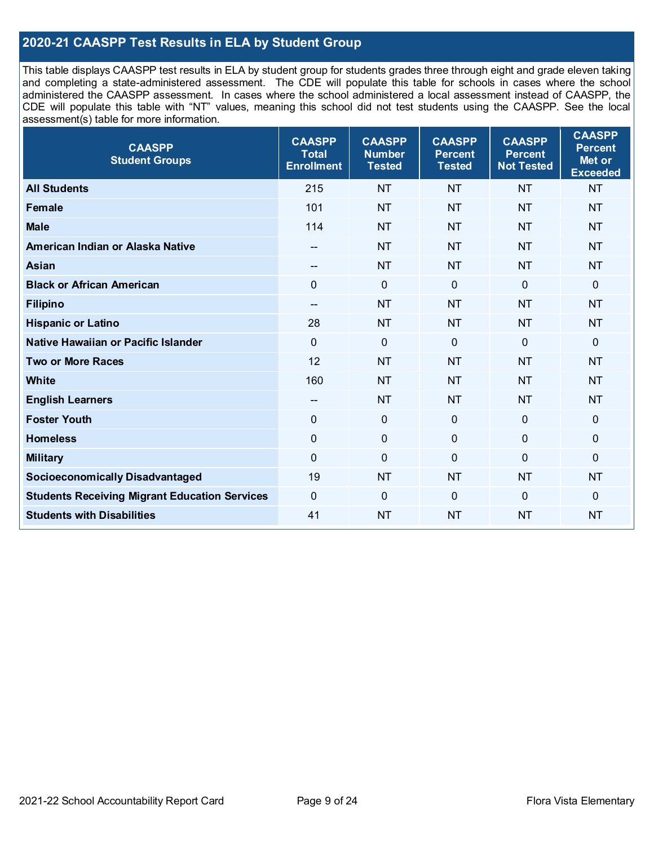## **2020-21 CAASPP Test Results in ELA by Student Group**

This table displays CAASPP test results in ELA by student group for students grades three through eight and grade eleven taking and completing a state-administered assessment. The CDE will populate this table for schools in cases where the school administered the CAASPP assessment. In cases where the school administered a local assessment instead of CAASPP, the CDE will populate this table with "NT" values, meaning this school did not test students using the CAASPP. See the local assessment(s) table for more information.

| <b>CAASPP</b><br><b>Student Groups</b>               | <b>CAASPP</b><br><b>Total</b><br><b>Enrollment</b> | <b>CAASPP</b><br><b>Number</b><br><b>Tested</b> | <b>CAASPP</b><br><b>Percent</b><br><b>Tested</b> | <b>CAASPP</b><br><b>Percent</b><br><b>Not Tested</b> | <b>CAASPP</b><br><b>Percent</b><br>Met or<br><b>Exceeded</b> |
|------------------------------------------------------|----------------------------------------------------|-------------------------------------------------|--------------------------------------------------|------------------------------------------------------|--------------------------------------------------------------|
| <b>All Students</b>                                  | 215                                                | <b>NT</b>                                       | <b>NT</b>                                        | <b>NT</b>                                            | <b>NT</b>                                                    |
| <b>Female</b>                                        | 101                                                | <b>NT</b>                                       | <b>NT</b>                                        | <b>NT</b>                                            | <b>NT</b>                                                    |
| <b>Male</b>                                          | 114                                                | <b>NT</b>                                       | <b>NT</b>                                        | <b>NT</b>                                            | <b>NT</b>                                                    |
| American Indian or Alaska Native                     | --                                                 | <b>NT</b>                                       | <b>NT</b>                                        | <b>NT</b>                                            | <b>NT</b>                                                    |
| <b>Asian</b>                                         | $-$                                                | <b>NT</b>                                       | <b>NT</b>                                        | <b>NT</b>                                            | <b>NT</b>                                                    |
| <b>Black or African American</b>                     | $\Omega$                                           | $\mathbf 0$                                     | $\mathbf{0}$                                     | $\overline{0}$                                       | $\Omega$                                                     |
| <b>Filipino</b>                                      | $-$                                                | <b>NT</b>                                       | <b>NT</b>                                        | <b>NT</b>                                            | <b>NT</b>                                                    |
| <b>Hispanic or Latino</b>                            | 28                                                 | <b>NT</b>                                       | <b>NT</b>                                        | <b>NT</b>                                            | <b>NT</b>                                                    |
| Native Hawaiian or Pacific Islander                  | $\overline{0}$                                     | $\mathbf 0$                                     | $\mathbf 0$                                      | $\overline{0}$                                       | 0                                                            |
| <b>Two or More Races</b>                             | 12                                                 | <b>NT</b>                                       | <b>NT</b>                                        | <b>NT</b>                                            | <b>NT</b>                                                    |
| White                                                | 160                                                | <b>NT</b>                                       | <b>NT</b>                                        | <b>NT</b>                                            | <b>NT</b>                                                    |
| <b>English Learners</b>                              | $\overline{\phantom{a}}$                           | <b>NT</b>                                       | <b>NT</b>                                        | <b>NT</b>                                            | <b>NT</b>                                                    |
| <b>Foster Youth</b>                                  | 0                                                  | $\mathbf 0$                                     | $\mathbf 0$                                      | $\overline{0}$                                       | 0                                                            |
| <b>Homeless</b>                                      | $\mathbf 0$                                        | $\pmb{0}$                                       | $\mathbf 0$                                      | $\mathbf 0$                                          | 0                                                            |
| <b>Military</b>                                      | $\mathbf 0$                                        | $\pmb{0}$                                       | $\overline{0}$                                   | $\overline{0}$                                       | 0                                                            |
| <b>Socioeconomically Disadvantaged</b>               | 19                                                 | <b>NT</b>                                       | <b>NT</b>                                        | <b>NT</b>                                            | <b>NT</b>                                                    |
| <b>Students Receiving Migrant Education Services</b> | 0                                                  | $\mathbf 0$                                     | $\Omega$                                         | $\mathbf 0$                                          | 0                                                            |
| <b>Students with Disabilities</b>                    | 41                                                 | <b>NT</b>                                       | <b>NT</b>                                        | <b>NT</b>                                            | <b>NT</b>                                                    |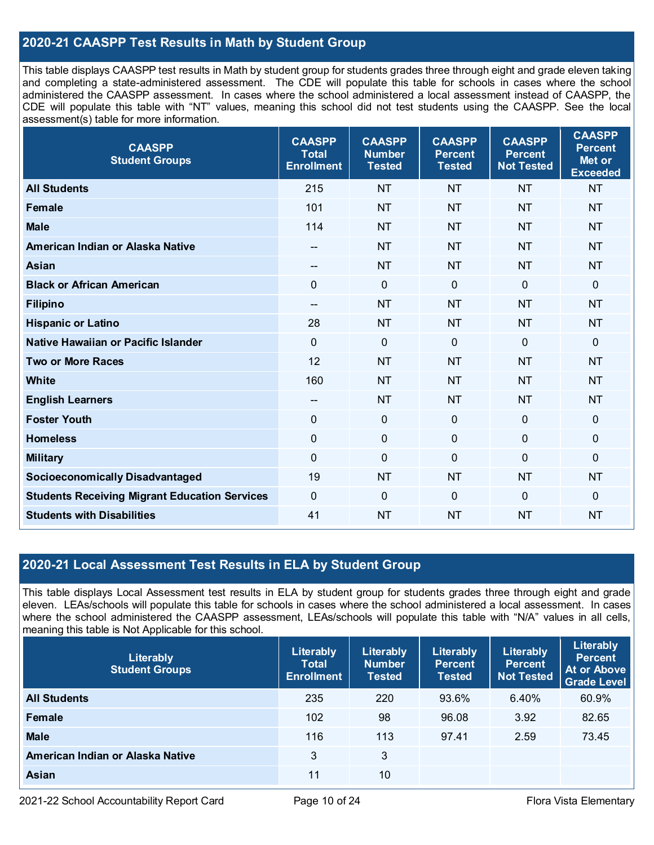## **2020-21 CAASPP Test Results in Math by Student Group**

This table displays CAASPP test results in Math by student group for students grades three through eight and grade eleven taking and completing a state-administered assessment. The CDE will populate this table for schools in cases where the school administered the CAASPP assessment. In cases where the school administered a local assessment instead of CAASPP, the CDE will populate this table with "NT" values, meaning this school did not test students using the CAASPP. See the local assessment(s) table for more information.

| <b>CAASPP</b><br><b>Student Groups</b>               | <b>CAASPP</b><br><b>Total</b><br><b>Enrollment</b> | <b>CAASPP</b><br><b>Number</b><br><b>Tested</b> | <b>CAASPP</b><br><b>Percent</b><br><b>Tested</b> | <b>CAASPP</b><br><b>Percent</b><br><b>Not Tested</b> | <b>CAASPP</b><br><b>Percent</b><br>Met or<br><b>Exceeded</b> |
|------------------------------------------------------|----------------------------------------------------|-------------------------------------------------|--------------------------------------------------|------------------------------------------------------|--------------------------------------------------------------|
| <b>All Students</b>                                  | 215                                                | <b>NT</b>                                       | <b>NT</b>                                        | <b>NT</b>                                            | <b>NT</b>                                                    |
| <b>Female</b>                                        | 101                                                | <b>NT</b>                                       | <b>NT</b>                                        | <b>NT</b>                                            | <b>NT</b>                                                    |
| <b>Male</b>                                          | 114                                                | <b>NT</b>                                       | <b>NT</b>                                        | <b>NT</b>                                            | <b>NT</b>                                                    |
| American Indian or Alaska Native                     | --                                                 | <b>NT</b>                                       | <b>NT</b>                                        | <b>NT</b>                                            | <b>NT</b>                                                    |
| <b>Asian</b>                                         | --                                                 | <b>NT</b>                                       | <b>NT</b>                                        | <b>NT</b>                                            | <b>NT</b>                                                    |
| <b>Black or African American</b>                     | $\mathbf 0$                                        | $\overline{0}$                                  | $\mathbf 0$                                      | $\Omega$                                             | $\mathbf 0$                                                  |
| <b>Filipino</b>                                      | $\overline{\phantom{a}}$                           | <b>NT</b>                                       | <b>NT</b>                                        | <b>NT</b>                                            | <b>NT</b>                                                    |
| <b>Hispanic or Latino</b>                            | 28                                                 | <b>NT</b>                                       | <b>NT</b>                                        | <b>NT</b>                                            | <b>NT</b>                                                    |
| <b>Native Hawaiian or Pacific Islander</b>           | $\overline{0}$                                     | $\mathbf 0$                                     | $\mathbf 0$                                      | $\overline{0}$                                       | $\mathbf 0$                                                  |
| <b>Two or More Races</b>                             | 12                                                 | <b>NT</b>                                       | <b>NT</b>                                        | <b>NT</b>                                            | <b>NT</b>                                                    |
| <b>White</b>                                         | 160                                                | <b>NT</b>                                       | <b>NT</b>                                        | <b>NT</b>                                            | <b>NT</b>                                                    |
| <b>English Learners</b>                              | --                                                 | <b>NT</b>                                       | <b>NT</b>                                        | <b>NT</b>                                            | <b>NT</b>                                                    |
| <b>Foster Youth</b>                                  | $\mathbf 0$                                        | $\mathbf 0$                                     | $\mathbf 0$                                      | $\mathbf{0}$                                         | $\mathbf 0$                                                  |
| <b>Homeless</b>                                      | $\mathbf 0$                                        | $\mathbf 0$                                     | $\mathbf 0$                                      | 0                                                    | $\mathbf 0$                                                  |
| <b>Military</b>                                      | $\mathbf 0$                                        | $\pmb{0}$                                       | $\mathbf 0$                                      | 0                                                    | $\mathbf 0$                                                  |
| <b>Socioeconomically Disadvantaged</b>               | 19                                                 | <b>NT</b>                                       | <b>NT</b>                                        | <b>NT</b>                                            | <b>NT</b>                                                    |
| <b>Students Receiving Migrant Education Services</b> | $\overline{0}$                                     | $\mathbf 0$                                     | $\mathbf 0$                                      | 0                                                    | $\mathbf 0$                                                  |
| <b>Students with Disabilities</b>                    | 41                                                 | <b>NT</b>                                       | <b>NT</b>                                        | <b>NT</b>                                            | <b>NT</b>                                                    |

## **2020-21 Local Assessment Test Results in ELA by Student Group**

This table displays Local Assessment test results in ELA by student group for students grades three through eight and grade eleven. LEAs/schools will populate this table for schools in cases where the school administered a local assessment. In cases where the school administered the CAASPP assessment, LEAs/schools will populate this table with "N/A" values in all cells, meaning this table is Not Applicable for this school.

| Literably<br><b>Student Groups</b> | Literably<br><b>Total</b><br><b>Enrollment</b> | Literably<br><b>Number</b><br><b>Tested</b> | Literably<br><b>Percent</b><br><b>Tested</b> | Literably<br><b>Percent</b><br><b>Not Tested</b> | Literably<br><b>Percent</b><br>At or Above<br><b>Grade Level</b> |
|------------------------------------|------------------------------------------------|---------------------------------------------|----------------------------------------------|--------------------------------------------------|------------------------------------------------------------------|
| <b>All Students</b>                | 235                                            | 220                                         | 93.6%                                        | 6.40%                                            | 60.9%                                                            |
| Female                             | 102                                            | 98                                          | 96.08                                        | 3.92                                             | 82.65                                                            |
| <b>Male</b>                        | 116                                            | 113                                         | 97.41                                        | 2.59                                             | 73.45                                                            |
| American Indian or Alaska Native   | 3                                              | 3                                           |                                              |                                                  |                                                                  |
| <b>Asian</b>                       | 11                                             | 10                                          |                                              |                                                  |                                                                  |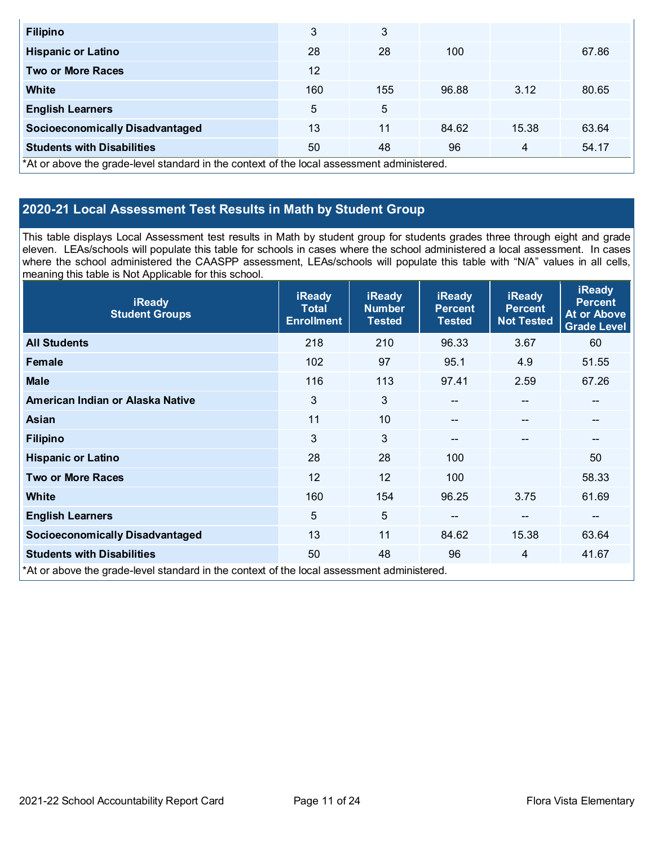| <b>Filipino</b>                                                                            | 3   | 3   |       |       |       |  |  |
|--------------------------------------------------------------------------------------------|-----|-----|-------|-------|-------|--|--|
| <b>Hispanic or Latino</b>                                                                  | 28  | 28  | 100   |       | 67.86 |  |  |
| <b>Two or More Races</b>                                                                   | 12  |     |       |       |       |  |  |
| <b>White</b>                                                                               | 160 | 155 | 96.88 | 3.12  | 80.65 |  |  |
| <b>English Learners</b>                                                                    | 5   | 5   |       |       |       |  |  |
| <b>Socioeconomically Disadvantaged</b>                                                     | 13  | 11  | 84.62 | 15.38 | 63.64 |  |  |
| <b>Students with Disabilities</b>                                                          | 50  | 48  | 96    | 4     | 54.17 |  |  |
| *At or above the grade-level standard in the context of the local assessment administered. |     |     |       |       |       |  |  |

## **2020-21 Local Assessment Test Results in Math by Student Group**

This table displays Local Assessment test results in Math by student group for students grades three through eight and grade eleven. LEAs/schools will populate this table for schools in cases where the school administered a local assessment. In cases where the school administered the CAASPP assessment, LEAs/schools will populate this table with "N/A" values in all cells, meaning this table is Not Applicable for this school.

| <b>iReady</b><br><b>Student Groups</b>                                                     | <b>iReady</b><br><b>Total</b><br><b>Enrollment</b> | <b>iReady</b><br><b>Number</b><br><b>Tested</b> | <b>iReady</b><br><b>Percent</b><br><b>Tested</b> | <b>iReady</b><br><b>Percent</b><br><b>Not Tested</b> | <b>iReady</b><br><b>Percent</b><br><b>At or Above</b><br><b>Grade Level</b> |
|--------------------------------------------------------------------------------------------|----------------------------------------------------|-------------------------------------------------|--------------------------------------------------|------------------------------------------------------|-----------------------------------------------------------------------------|
| <b>All Students</b>                                                                        | 218                                                | 210                                             | 96.33                                            | 3.67                                                 | 60                                                                          |
| Female                                                                                     | 102                                                | 97                                              | 95.1                                             | 4.9                                                  | 51.55                                                                       |
| <b>Male</b>                                                                                | 116                                                | 113                                             | 97.41                                            | 2.59                                                 | 67.26                                                                       |
| American Indian or Alaska Native                                                           | 3                                                  | 3                                               | $- -$                                            | $\overline{\phantom{a}}$                             | --                                                                          |
| Asian                                                                                      | 11                                                 | 10                                              | $\qquad \qquad \cdots$                           | $\overline{\phantom{a}}$                             | $\hspace{0.05cm}$ – $\hspace{0.05cm}$                                       |
| <b>Filipino</b>                                                                            | 3                                                  | 3                                               | $\qquad \qquad -$                                | --                                                   | $\hspace{0.05cm}$ – $\hspace{0.05cm}$                                       |
| <b>Hispanic or Latino</b>                                                                  | 28                                                 | 28                                              | 100                                              |                                                      | 50                                                                          |
| <b>Two or More Races</b>                                                                   | 12                                                 | 12                                              | 100                                              |                                                      | 58.33                                                                       |
| <b>White</b>                                                                               | 160                                                | 154                                             | 96.25                                            | 3.75                                                 | 61.69                                                                       |
| <b>English Learners</b>                                                                    | 5                                                  | 5                                               | $\qquad \qquad -$                                | --                                                   | --                                                                          |
| <b>Socioeconomically Disadvantaged</b>                                                     | 13                                                 | 11                                              | 84.62                                            | 15.38                                                | 63.64                                                                       |
| <b>Students with Disabilities</b>                                                          | 50                                                 | 48                                              | 96                                               | $\overline{4}$                                       | 41.67                                                                       |
| *At or above the grade-level standard in the context of the local assessment administered. |                                                    |                                                 |                                                  |                                                      |                                                                             |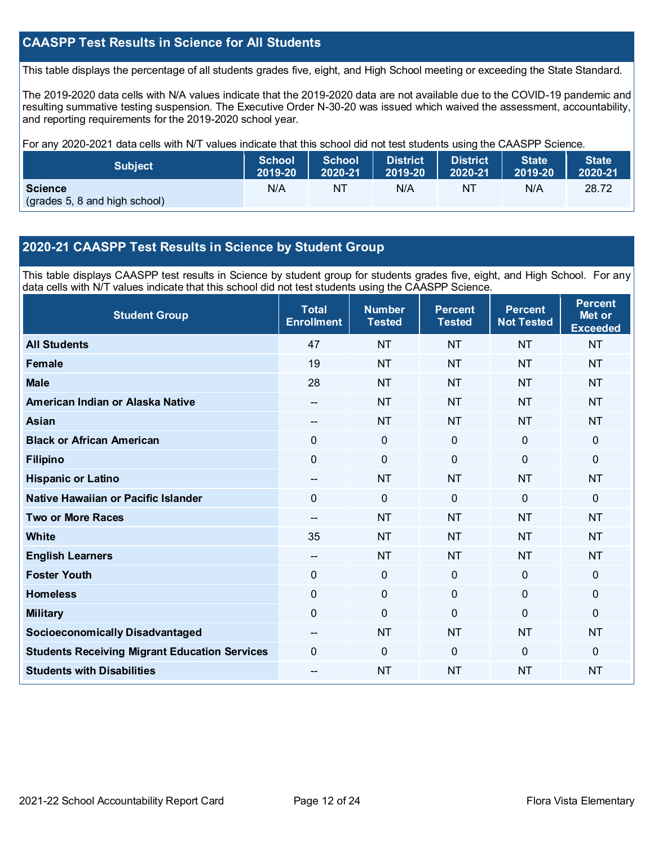## **CAASPP Test Results in Science for All Students**

This table displays the percentage of all students grades five, eight, and High School meeting or exceeding the State Standard.

The 2019-2020 data cells with N/A values indicate that the 2019-2020 data are not available due to the COVID-19 pandemic and resulting summative testing suspension. The Executive Order N-30-20 was issued which waived the assessment, accountability, and reporting requirements for the 2019-2020 school year.

For any 2020-2021 data cells with N/T values indicate that this school did not test students using the CAASPP Science.

| <b>Subject</b>                                  | <b>School</b> | <b>School</b> | <b>District</b> | <b>District</b> | <b>State</b> | <b>State</b> |
|-------------------------------------------------|---------------|---------------|-----------------|-----------------|--------------|--------------|
|                                                 | 2019-20       | 2020-21       | 2019-20         | 2020-21         | 2019-20      | 2020-21      |
| <b>Science</b><br>(grades 5, 8 and high school) | N/A           | NT            | N/A             | NT              | N/A          | 28.72        |

### **2020-21 CAASPP Test Results in Science by Student Group**

This table displays CAASPP test results in Science by student group for students grades five, eight, and High School. For any data cells with N/T values indicate that this school did not test students using the CAASPP Science.

| <b>Student Group</b>                                 | <b>Total</b><br><b>Enrollment</b> | <b>Number</b><br><b>Tested</b> | <b>Percent</b><br><b>Tested</b> | <b>Percent</b><br><b>Not Tested</b> | <b>Percent</b><br>Met or<br><b>Exceeded</b> |
|------------------------------------------------------|-----------------------------------|--------------------------------|---------------------------------|-------------------------------------|---------------------------------------------|
| <b>All Students</b>                                  | 47                                | <b>NT</b>                      | <b>NT</b>                       | <b>NT</b>                           | <b>NT</b>                                   |
| Female                                               | 19                                | <b>NT</b>                      | <b>NT</b>                       | <b>NT</b>                           | <b>NT</b>                                   |
| <b>Male</b>                                          | 28                                | <b>NT</b>                      | <b>NT</b>                       | <b>NT</b>                           | <b>NT</b>                                   |
| American Indian or Alaska Native                     | $\overline{\phantom{a}}$          | <b>NT</b>                      | <b>NT</b>                       | <b>NT</b>                           | <b>NT</b>                                   |
| <b>Asian</b>                                         | --                                | <b>NT</b>                      | <b>NT</b>                       | <b>NT</b>                           | <b>NT</b>                                   |
| <b>Black or African American</b>                     | 0                                 | $\mathbf 0$                    | $\mathbf 0$                     | $\mathbf 0$                         | 0                                           |
| <b>Filipino</b>                                      | 0                                 | $\mathbf 0$                    | $\mathbf{0}$                    | $\Omega$                            | 0                                           |
| <b>Hispanic or Latino</b>                            | --                                | <b>NT</b>                      | <b>NT</b>                       | <b>NT</b>                           | <b>NT</b>                                   |
| Native Hawaiian or Pacific Islander                  | 0                                 | $\mathbf 0$                    | $\mathbf{0}$                    | $\mathbf 0$                         | 0                                           |
| <b>Two or More Races</b>                             | $-$                               | <b>NT</b>                      | <b>NT</b>                       | <b>NT</b>                           | <b>NT</b>                                   |
| <b>White</b>                                         | 35                                | <b>NT</b>                      | <b>NT</b>                       | <b>NT</b>                           | <b>NT</b>                                   |
| <b>English Learners</b>                              | --                                | <b>NT</b>                      | <b>NT</b>                       | <b>NT</b>                           | <b>NT</b>                                   |
| <b>Foster Youth</b>                                  | 0                                 | $\mathbf 0$                    | $\mathbf 0$                     | $\overline{0}$                      | 0                                           |
| <b>Homeless</b>                                      | 0                                 | $\pmb{0}$                      | $\mathbf 0$                     | 0                                   | 0                                           |
| <b>Military</b>                                      | 0                                 | $\mathbf 0$                    | $\Omega$                        | $\Omega$                            | 0                                           |
| <b>Socioeconomically Disadvantaged</b>               |                                   | <b>NT</b>                      | <b>NT</b>                       | <b>NT</b>                           | <b>NT</b>                                   |
| <b>Students Receiving Migrant Education Services</b> | 0                                 | $\mathbf 0$                    | $\Omega$                        | $\mathbf{0}$                        | $\Omega$                                    |
| <b>Students with Disabilities</b>                    | $-$                               | <b>NT</b>                      | <b>NT</b>                       | <b>NT</b>                           | <b>NT</b>                                   |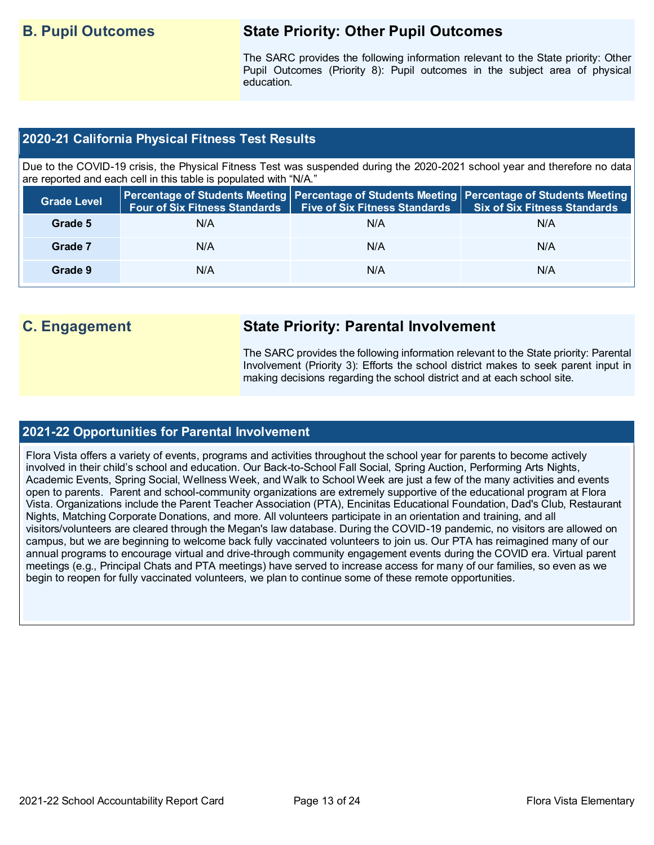## **B. Pupil Outcomes State Priority: Other Pupil Outcomes**

The SARC provides the following information relevant to the State priority: Other Pupil Outcomes (Priority 8): Pupil outcomes in the subject area of physical education.

## **2020-21 California Physical Fitness Test Results**

Due to the COVID-19 crisis, the Physical Fitness Test was suspended during the 2020-2021 school year and therefore no data are reported and each cell in this table is populated with "N/A."

| <b>Grade Level</b> | <b>Four of Six Fitness Standards</b> | Five of Six Fitness Standards   Six of Six Fitness Standards | Percentage of Students Meeting Percentage of Students Meeting Percentage of Students Meeting |
|--------------------|--------------------------------------|--------------------------------------------------------------|----------------------------------------------------------------------------------------------|
| Grade 5            | N/A                                  | N/A                                                          | N/A                                                                                          |
| Grade 7            | N/A                                  | N/A                                                          | N/A                                                                                          |
| Grade 9            | N/A                                  | N/A                                                          | N/A                                                                                          |

## **C. Engagement State Priority: Parental Involvement**

The SARC provides the following information relevant to the State priority: Parental Involvement (Priority 3): Efforts the school district makes to seek parent input in making decisions regarding the school district and at each school site.

## **2021-22 Opportunities for Parental Involvement**

Flora Vista offers a variety of events, programs and activities throughout the school year for parents to become actively involved in their child's school and education. Our Back-to-School Fall Social, Spring Auction, Performing Arts Nights, Academic Events, Spring Social, Wellness Week, and Walk to School Week are just a few of the many activities and events open to parents. Parent and school-community organizations are extremely supportive of the educational program at Flora Vista. Organizations include the Parent Teacher Association (PTA), Encinitas Educational Foundation, Dad's Club, Restaurant Nights, Matching Corporate Donations, and more. All volunteers participate in an orientation and training, and all visitors/volunteers are cleared through the Megan's law database. During the COVID-19 pandemic, no visitors are allowed on campus, but we are beginning to welcome back fully vaccinated volunteers to join us. Our PTA has reimagined many of our annual programs to encourage virtual and drive-through community engagement events during the COVID era. Virtual parent meetings (e.g., Principal Chats and PTA meetings) have served to increase access for many of our families, so even as we begin to reopen for fully vaccinated volunteers, we plan to continue some of these remote opportunities.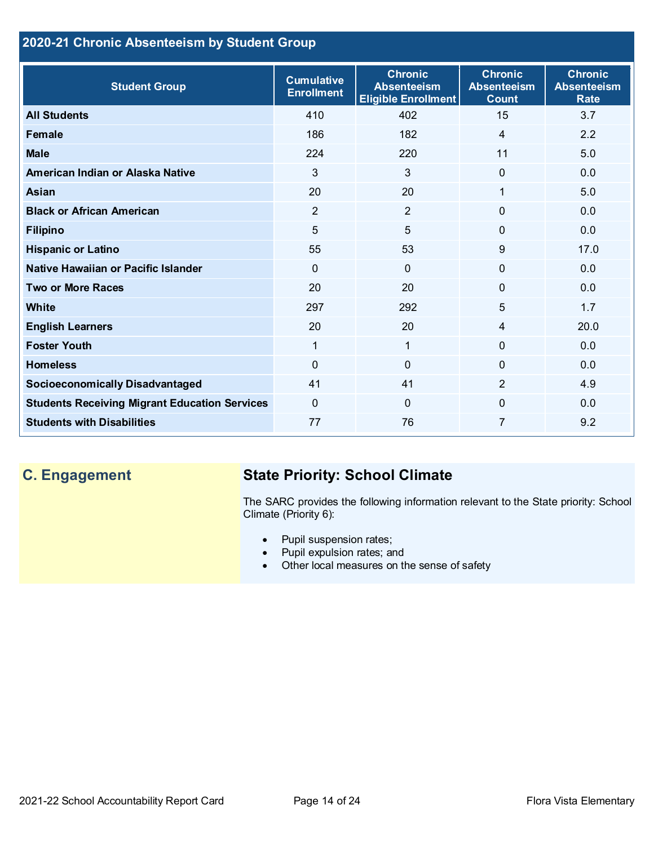## **2020-21 Chronic Absenteeism by Student Group**

| <b>Student Group</b>                                 | <b>Cumulative</b><br><b>Enrollment</b> | <b>Chronic</b><br><b>Absenteeism</b><br><b>Eligible Enrollment</b> | <b>Chronic</b><br><b>Absenteeism</b><br><b>Count</b> | <b>Chronic</b><br><b>Absenteeism</b><br><b>Rate</b> |
|------------------------------------------------------|----------------------------------------|--------------------------------------------------------------------|------------------------------------------------------|-----------------------------------------------------|
| <b>All Students</b>                                  | 410                                    | 402                                                                | 15                                                   | 3.7                                                 |
| <b>Female</b>                                        | 186                                    | 182                                                                | $\overline{4}$                                       | 2.2                                                 |
| <b>Male</b>                                          | 224                                    | 220                                                                | 11                                                   | 5.0                                                 |
| American Indian or Alaska Native                     | 3                                      | 3                                                                  | $\mathbf{0}$                                         | 0.0                                                 |
| <b>Asian</b>                                         | 20                                     | 20                                                                 | 1                                                    | 5.0                                                 |
| <b>Black or African American</b>                     | $\overline{2}$                         | $\overline{2}$                                                     | 0                                                    | 0.0                                                 |
| <b>Filipino</b>                                      | 5                                      | 5                                                                  | $\Omega$                                             | 0.0                                                 |
| <b>Hispanic or Latino</b>                            | 55                                     | 53                                                                 | 9                                                    | 17.0                                                |
| Native Hawaiian or Pacific Islander                  | $\Omega$                               | $\mathbf{0}$                                                       | $\Omega$                                             | 0.0                                                 |
| <b>Two or More Races</b>                             | 20                                     | 20                                                                 | 0                                                    | 0.0                                                 |
| White                                                | 297                                    | 292                                                                | 5                                                    | 1.7                                                 |
| <b>English Learners</b>                              | 20                                     | 20                                                                 | $\overline{4}$                                       | 20.0                                                |
| <b>Foster Youth</b>                                  | 1                                      | $\mathbf{1}$                                                       | $\Omega$                                             | 0.0                                                 |
| <b>Homeless</b>                                      | $\Omega$                               | 0                                                                  | 0                                                    | 0.0                                                 |
| <b>Socioeconomically Disadvantaged</b>               | 41                                     | 41                                                                 | $\overline{2}$                                       | 4.9                                                 |
| <b>Students Receiving Migrant Education Services</b> | $\mathbf{0}$                           | $\Omega$                                                           | 0                                                    | 0.0                                                 |
| <b>Students with Disabilities</b>                    | 77                                     | 76                                                                 | 7                                                    | 9.2                                                 |

## **C. Engagement State Priority: School Climate**

The SARC provides the following information relevant to the State priority: School Climate (Priority 6):

- Pupil suspension rates;
- Pupil expulsion rates; and
- Other local measures on the sense of safety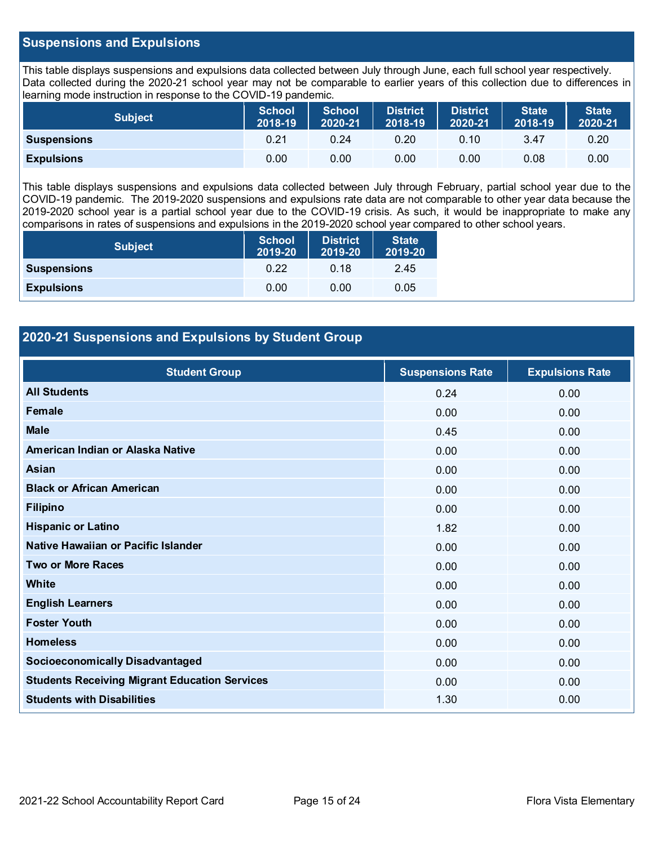### **Suspensions and Expulsions**

This table displays suspensions and expulsions data collected between July through June, each full school year respectively. Data collected during the 2020-21 school year may not be comparable to earlier years of this collection due to differences in learning mode instruction in response to the COVID-19 pandemic.

| <b>Subject</b>     | <b>School</b><br>2018-19 | <b>School</b><br>2020-21 | <b>District</b><br>2018-19 | <b>District</b><br>2020-21 | <b>State</b><br>2018-19 | <b>State</b><br>2020-21 |
|--------------------|--------------------------|--------------------------|----------------------------|----------------------------|-------------------------|-------------------------|
| <b>Suspensions</b> | 0.21                     | 0.24                     | 0.20                       | 0.10                       | 3.47                    | 0.20                    |
| <b>Expulsions</b>  | 0.00                     | 0.00                     | 0.00                       | 0.00                       | 0.08                    | 0.00                    |

This table displays suspensions and expulsions data collected between July through February, partial school year due to the COVID-19 pandemic. The 2019-2020 suspensions and expulsions rate data are not comparable to other year data because the 2019-2020 school year is a partial school year due to the COVID-19 crisis. As such, it would be inappropriate to make any comparisons in rates of suspensions and expulsions in the 2019-2020 school year compared to other school years.

| <b>Subject</b>     | <b>School</b><br>2019-20 | <b>District</b><br>2019-20 | <b>State</b><br>2019-20 |
|--------------------|--------------------------|----------------------------|-------------------------|
| <b>Suspensions</b> | 0.22                     | 0.18                       | 2.45                    |
| <b>Expulsions</b>  | 0.00                     | 0.00                       | 0.05                    |

## **2020-21 Suspensions and Expulsions by Student Group**

| <b>Student Group</b>                                 | <b>Suspensions Rate</b> | <b>Expulsions Rate</b> |
|------------------------------------------------------|-------------------------|------------------------|
| <b>All Students</b>                                  | 0.24                    | 0.00                   |
| Female                                               | 0.00                    | 0.00                   |
| <b>Male</b>                                          | 0.45                    | 0.00                   |
| American Indian or Alaska Native                     | 0.00                    | 0.00                   |
| Asian                                                | 0.00                    | 0.00                   |
| <b>Black or African American</b>                     | 0.00                    | 0.00                   |
| <b>Filipino</b>                                      | 0.00                    | 0.00                   |
| <b>Hispanic or Latino</b>                            | 1.82                    | 0.00                   |
| Native Hawaiian or Pacific Islander                  | 0.00                    | 0.00                   |
| <b>Two or More Races</b>                             | 0.00                    | 0.00                   |
| White                                                | 0.00                    | 0.00                   |
| <b>English Learners</b>                              | 0.00                    | 0.00                   |
| <b>Foster Youth</b>                                  | 0.00                    | 0.00                   |
| <b>Homeless</b>                                      | 0.00                    | 0.00                   |
| <b>Socioeconomically Disadvantaged</b>               | 0.00                    | 0.00                   |
| <b>Students Receiving Migrant Education Services</b> | 0.00                    | 0.00                   |
| <b>Students with Disabilities</b>                    | 1.30                    | 0.00                   |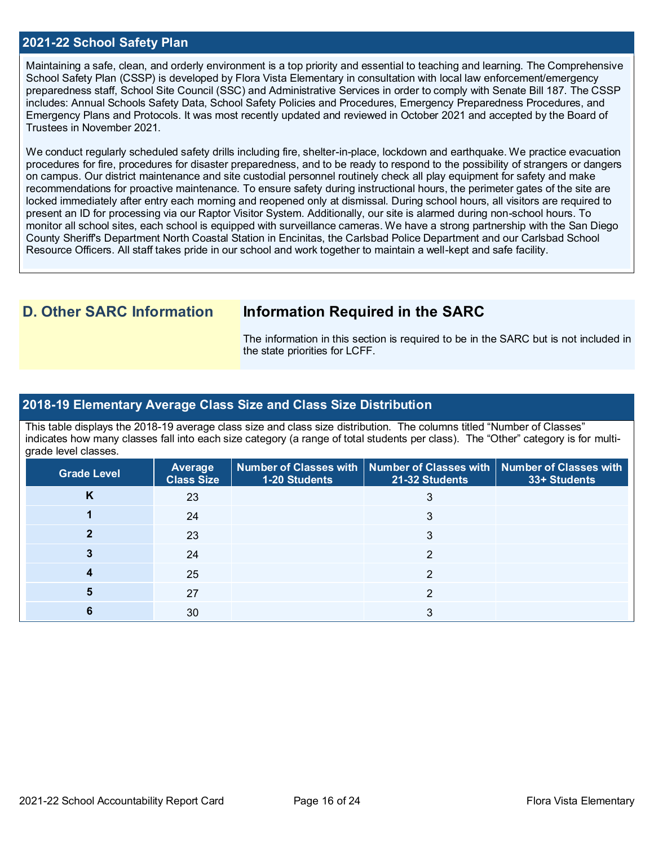#### **2021-22 School Safety Plan**

Maintaining a safe, clean, and orderly environment is a top priority and essential to teaching and learning. The Comprehensive School Safety Plan (CSSP) is developed by Flora Vista Elementary in consultation with local law enforcement/emergency preparedness staff, School Site Council (SSC) and Administrative Services in order to comply with Senate Bill 187. The CSSP includes: Annual Schools Safety Data, School Safety Policies and Procedures, Emergency Preparedness Procedures, and Emergency Plans and Protocols. It was most recently updated and reviewed in October 2021 and accepted by the Board of Trustees in November 2021.

We conduct regularly scheduled safety drills including fire, shelter-in-place, lockdown and earthquake. We practice evacuation procedures for fire, procedures for disaster preparedness, and to be ready to respond to the possibility of strangers or dangers on campus. Our district maintenance and site custodial personnel routinely check all play equipment for safety and make recommendations for proactive maintenance. To ensure safety during instructional hours, the perimeter gates of the site are locked immediately after entry each morning and reopened only at dismissal. During school hours, all visitors are required to present an ID for processing via our Raptor Visitor System. Additionally, our site is alarmed during non-school hours. To monitor all school sites, each school is equipped with surveillance cameras. We have a strong partnership with the San Diego County Sheriff's Department North Coastal Station in Encinitas, the Carlsbad Police Department and our Carlsbad School Resource Officers. All staff takes pride in our school and work together to maintain a well-kept and safe facility.

## **D. Other SARC Information Information Required in the SARC**

The information in this section is required to be in the SARC but is not included in the state priorities for LCFF.

### **2018-19 Elementary Average Class Size and Class Size Distribution**

This table displays the 2018-19 average class size and class size distribution. The columns titled "Number of Classes" indicates how many classes fall into each size category (a range of total students per class). The "Other" category is for multigrade level classes.

| <b>Grade Level</b> | <b>Average</b><br><b>Class Size</b> | $\mid$ Number of Classes with $\mid$ Number of Classes with $\mid$ Number of Classes with<br>1-20 Students | 21-32 Students | 33+ Students |
|--------------------|-------------------------------------|------------------------------------------------------------------------------------------------------------|----------------|--------------|
| Κ                  | 23                                  |                                                                                                            |                |              |
|                    | 24                                  |                                                                                                            |                |              |
|                    | 23                                  |                                                                                                            | 3              |              |
|                    | 24                                  |                                                                                                            |                |              |
|                    | 25                                  |                                                                                                            | ົ              |              |
|                    | 27                                  |                                                                                                            |                |              |
|                    | 30                                  |                                                                                                            |                |              |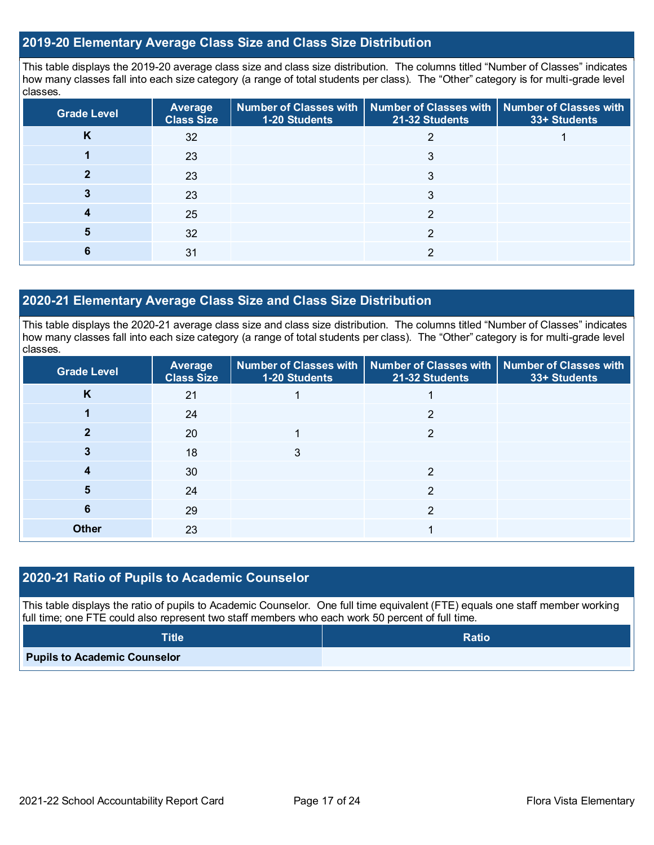#### **2019-20 Elementary Average Class Size and Class Size Distribution**

This table displays the 2019-20 average class size and class size distribution. The columns titled "Number of Classes" indicates how many classes fall into each size category (a range of total students per class). The "Other" category is for multi-grade level classes.

| <b>Grade Level</b> | Average<br><b>Class Size</b> | 1-20 Students | Number of Classes with   Number of Classes with   Number of Classes with<br>21-32 Students | 33+ Students |
|--------------------|------------------------------|---------------|--------------------------------------------------------------------------------------------|--------------|
| n                  | 32                           |               |                                                                                            |              |
|                    | 23                           |               | 3                                                                                          |              |
|                    | 23                           |               |                                                                                            |              |
|                    | 23                           |               |                                                                                            |              |
|                    | 25                           |               | ົ                                                                                          |              |
| 5                  | 32                           |               | ∩                                                                                          |              |
|                    | 31                           |               | ⌒                                                                                          |              |

### **2020-21 Elementary Average Class Size and Class Size Distribution**

This table displays the 2020-21 average class size and class size distribution. The columns titled "Number of Classes" indicates how many classes fall into each size category (a range of total students per class). The "Other" category is for multi-grade level classes.

| <b>Grade Level</b> | Average<br><b>Class Size</b> | 1-20 Students | Number of Classes with   Number of Classes with   Number of Classes with<br>21-32 Students | 33+ Students |
|--------------------|------------------------------|---------------|--------------------------------------------------------------------------------------------|--------------|
| K                  | 21                           |               |                                                                                            |              |
|                    | 24                           |               | າ                                                                                          |              |
|                    | 20                           |               | ົ                                                                                          |              |
|                    | 18                           |               |                                                                                            |              |
|                    | 30                           |               | 2                                                                                          |              |
| 5                  | 24                           |               | 2                                                                                          |              |
| 6                  | 29                           |               | າ                                                                                          |              |
| <b>Other</b>       | 23                           |               |                                                                                            |              |

## **2020-21 Ratio of Pupils to Academic Counselor**

This table displays the ratio of pupils to Academic Counselor. One full time equivalent (FTE) equals one staff member working full time; one FTE could also represent two staff members who each work 50 percent of full time.

| $\textsf{Title}^{\intercal}$        | <b>Ratio</b> |
|-------------------------------------|--------------|
| <b>Pupils to Academic Counselor</b> |              |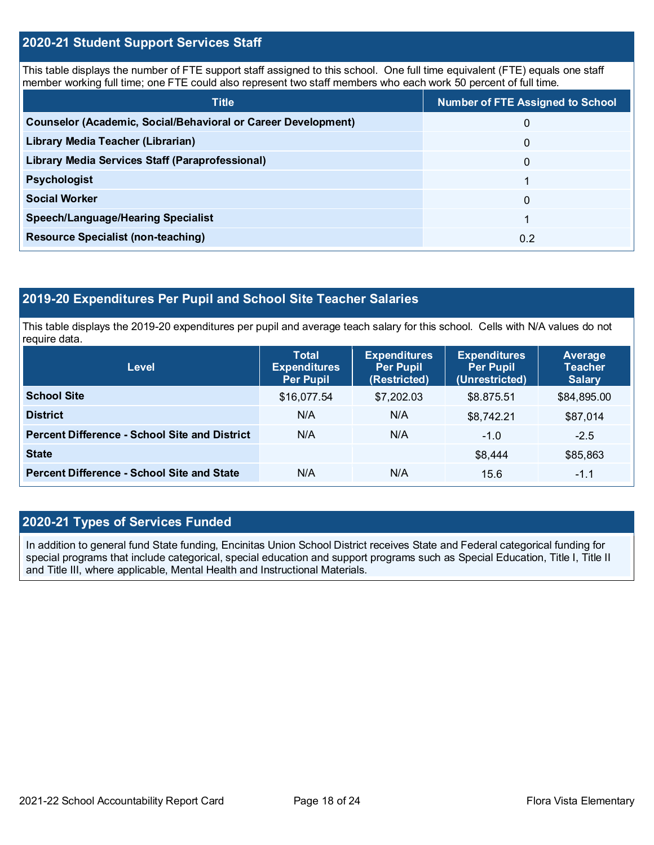### **2020-21 Student Support Services Staff**

This table displays the number of FTE support staff assigned to this school. One full time equivalent (FTE) equals one staff member working full time; one FTE could also represent two staff members who each work 50 percent of full time.

| <b>Title</b>                                                         | <b>Number of FTE Assigned to School</b> |
|----------------------------------------------------------------------|-----------------------------------------|
| <b>Counselor (Academic, Social/Behavioral or Career Development)</b> | 0                                       |
| Library Media Teacher (Librarian)                                    | 0                                       |
| Library Media Services Staff (Paraprofessional)                      | $\Omega$                                |
| <b>Psychologist</b>                                                  |                                         |
| <b>Social Worker</b>                                                 | $\Omega$                                |
| <b>Speech/Language/Hearing Specialist</b>                            |                                         |
| <b>Resource Specialist (non-teaching)</b>                            | 0.2                                     |

## **2019-20 Expenditures Per Pupil and School Site Teacher Salaries**

This table displays the 2019-20 expenditures per pupil and average teach salary for this school. Cells with N/A values do not require data.

| <b>Level</b>                                         | <b>Total</b><br><b>Expenditures</b><br><b>Per Pupil</b> | <b>Expenditures</b><br><b>Per Pupil</b><br>(Restricted) | <b>Expenditures</b><br><b>Per Pupil</b><br>(Unrestricted) | Average<br><b>Teacher</b><br><b>Salary</b> |
|------------------------------------------------------|---------------------------------------------------------|---------------------------------------------------------|-----------------------------------------------------------|--------------------------------------------|
| <b>School Site</b>                                   | \$16,077.54                                             | \$7,202.03                                              | \$8.875.51                                                | \$84,895.00                                |
| <b>District</b>                                      | N/A                                                     | N/A                                                     | \$8,742.21                                                | \$87,014                                   |
| <b>Percent Difference - School Site and District</b> | N/A                                                     | N/A                                                     | $-1.0$                                                    | $-2.5$                                     |
| <b>State</b>                                         |                                                         |                                                         | \$8,444                                                   | \$85,863                                   |
| <b>Percent Difference - School Site and State</b>    | N/A                                                     | N/A                                                     | 15.6                                                      | $-1.1$                                     |

## **2020-21 Types of Services Funded**

In addition to general fund State funding, Encinitas Union School District receives State and Federal categorical funding for special programs that include categorical, special education and support programs such as Special Education, Title I, Title II and Title III, where applicable, Mental Health and Instructional Materials.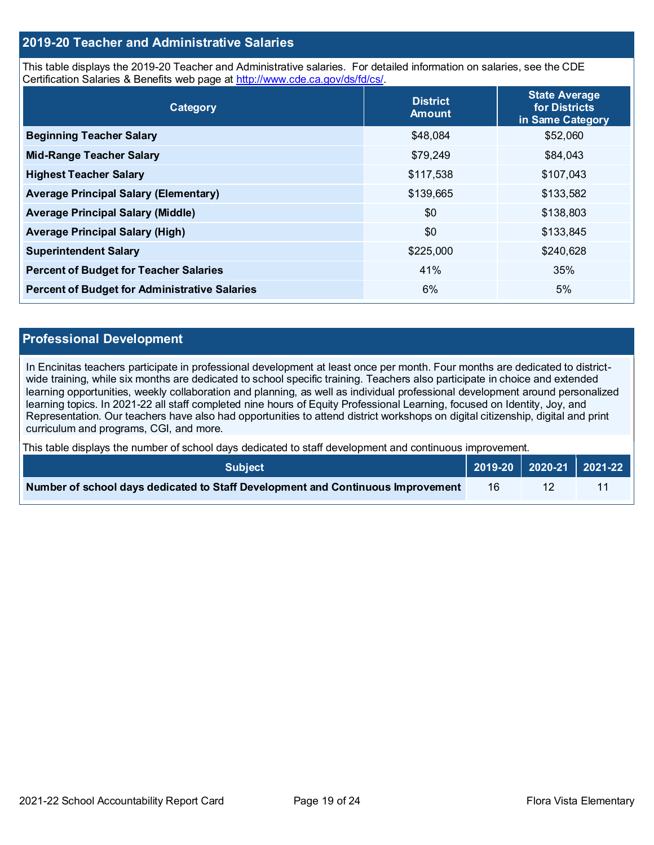## **2019-20 Teacher and Administrative Salaries**

This table displays the 2019-20 Teacher and Administrative salaries. For detailed information on salaries, see the CDE Certification Salaries & Benefits web page at [http://www.cde.ca.gov/ds/fd/cs/.](http://www.cde.ca.gov/ds/fd/cs/)

| Category                                             | <b>District</b><br><b>Amount</b> | <b>State Average</b><br>for Districts<br>in Same Category |
|------------------------------------------------------|----------------------------------|-----------------------------------------------------------|
| <b>Beginning Teacher Salary</b>                      | \$48,084                         | \$52,060                                                  |
| <b>Mid-Range Teacher Salary</b>                      | \$79,249                         | \$84,043                                                  |
| <b>Highest Teacher Salary</b>                        | \$117,538                        | \$107,043                                                 |
| <b>Average Principal Salary (Elementary)</b>         | \$139,665                        | \$133,582                                                 |
| <b>Average Principal Salary (Middle)</b>             | \$0                              | \$138,803                                                 |
| <b>Average Principal Salary (High)</b>               | \$0                              | \$133,845                                                 |
| <b>Superintendent Salary</b>                         | \$225,000                        | \$240,628                                                 |
| <b>Percent of Budget for Teacher Salaries</b>        | 41%                              | 35%                                                       |
| <b>Percent of Budget for Administrative Salaries</b> | 6%                               | 5%                                                        |

#### **Professional Development**

In Encinitas teachers participate in professional development at least once per month. Four months are dedicated to districtwide training, while six months are dedicated to school specific training. Teachers also participate in choice and extended learning opportunities, weekly collaboration and planning, as well as individual professional development around personalized learning topics. In 2021-22 all staff completed nine hours of Equity Professional Learning, focused on Identity, Joy, and Representation. Our teachers have also had opportunities to attend district workshops on digital citizenship, digital and print curriculum and programs, CGI, and more.

This table displays the number of school days dedicated to staff development and continuous improvement.

| <b>Subiect</b> \                                                                |    |  |
|---------------------------------------------------------------------------------|----|--|
| Number of school days dedicated to Staff Development and Continuous Improvement | 16 |  |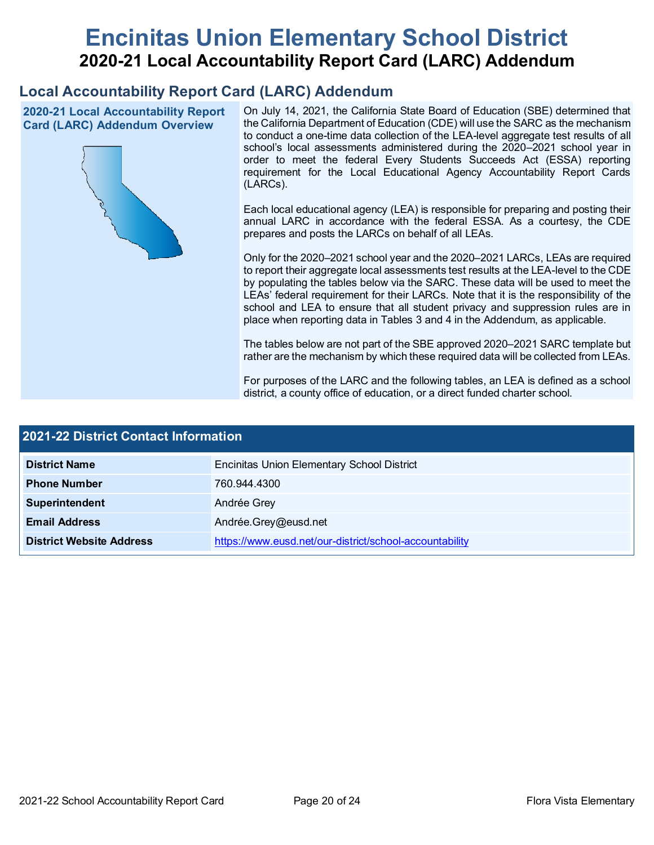# **Encinitas Union Elementary School District 2020-21 Local Accountability Report Card (LARC) Addendum**

## **Local Accountability Report Card (LARC) Addendum**

**2020-21 Local Accountability Report Card (LARC) Addendum Overview**



On July 14, 2021, the California State Board of Education (SBE) determined that the California Department of Education (CDE) will use the SARC as the mechanism to conduct a one-time data collection of the LEA-level aggregate test results of all school's local assessments administered during the 2020–2021 school year in order to meet the federal Every Students Succeeds Act (ESSA) reporting requirement for the Local Educational Agency Accountability Report Cards (LARCs).

Each local educational agency (LEA) is responsible for preparing and posting their annual LARC in accordance with the federal ESSA. As a courtesy, the CDE prepares and posts the LARCs on behalf of all LEAs.

Only for the 2020–2021 school year and the 2020–2021 LARCs, LEAs are required to report their aggregate local assessments test results at the LEA-level to the CDE by populating the tables below via the SARC. These data will be used to meet the LEAs' federal requirement for their LARCs. Note that it is the responsibility of the school and LEA to ensure that all student privacy and suppression rules are in place when reporting data in Tables 3 and 4 in the Addendum, as applicable.

The tables below are not part of the SBE approved 2020–2021 SARC template but rather are the mechanism by which these required data will be collected from LEAs.

For purposes of the LARC and the following tables, an LEA is defined as a school district, a county office of education, or a direct funded charter school.

| 2021-22 District Contact Information |                                                         |  |  |  |  |
|--------------------------------------|---------------------------------------------------------|--|--|--|--|
| <b>District Name</b>                 | <b>Encinitas Union Elementary School District</b>       |  |  |  |  |
| <b>Phone Number</b>                  | 760.944.4300                                            |  |  |  |  |
| Superintendent                       | Andrée Grey                                             |  |  |  |  |
| <b>Email Address</b>                 | Andrée.Grey@eusd.net                                    |  |  |  |  |
| <b>District Website Address</b>      | https://www.eusd.net/our-district/school-accountability |  |  |  |  |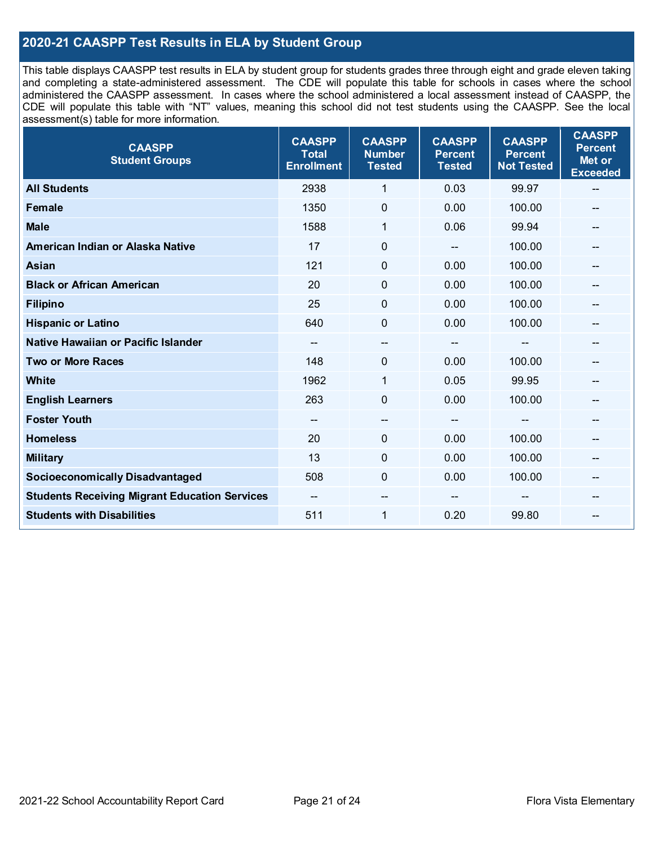## **2020-21 CAASPP Test Results in ELA by Student Group**

This table displays CAASPP test results in ELA by student group for students grades three through eight and grade eleven taking and completing a state-administered assessment. The CDE will populate this table for schools in cases where the school administered the CAASPP assessment. In cases where the school administered a local assessment instead of CAASPP, the CDE will populate this table with "NT" values, meaning this school did not test students using the CAASPP. See the local assessment(s) table for more information.

| <b>CAASPP</b><br><b>Student Groups</b>               | <b>CAASPP</b><br><b>Total</b><br><b>Enrollment</b> | <b>CAASPP</b><br><b>Number</b><br><b>Tested</b> | <b>CAASPP</b><br><b>Percent</b><br><b>Tested</b> | <b>CAASPP</b><br><b>Percent</b><br><b>Not Tested</b> | <b>CAASPP</b><br><b>Percent</b><br>Met or<br><b>Exceeded</b> |
|------------------------------------------------------|----------------------------------------------------|-------------------------------------------------|--------------------------------------------------|------------------------------------------------------|--------------------------------------------------------------|
| <b>All Students</b>                                  | 2938                                               | 1                                               | 0.03                                             | 99.97                                                | --                                                           |
| <b>Female</b>                                        | 1350                                               | $\pmb{0}$                                       | 0.00                                             | 100.00                                               | --                                                           |
| <b>Male</b>                                          | 1588                                               | 1                                               | 0.06                                             | 99.94                                                | --                                                           |
| American Indian or Alaska Native                     | 17                                                 | $\mathbf 0$                                     |                                                  | 100.00                                               | --                                                           |
| <b>Asian</b>                                         | 121                                                | 0                                               | 0.00                                             | 100.00                                               | --                                                           |
| <b>Black or African American</b>                     | 20                                                 | $\mathbf 0$                                     | 0.00                                             | 100.00                                               | --                                                           |
| <b>Filipino</b>                                      | 25                                                 | $\mathbf 0$                                     | 0.00                                             | 100.00                                               |                                                              |
| <b>Hispanic or Latino</b>                            | 640                                                | $\mathbf 0$                                     | 0.00                                             | 100.00                                               | --                                                           |
| Native Hawaiian or Pacific Islander                  | --                                                 | --                                              | --                                               | --                                                   | --                                                           |
| <b>Two or More Races</b>                             | 148                                                | 0                                               | 0.00                                             | 100.00                                               | --                                                           |
| <b>White</b>                                         | 1962                                               | $\mathbf{1}$                                    | 0.05                                             | 99.95                                                |                                                              |
| <b>English Learners</b>                              | 263                                                | $\mathbf 0$                                     | 0.00                                             | 100.00                                               |                                                              |
| <b>Foster Youth</b>                                  | $\overline{\phantom{m}}$                           | $\overline{\phantom{a}}$                        | $\overline{\phantom{a}}$                         | $-$                                                  | $\mathbf{m}$                                                 |
| <b>Homeless</b>                                      | 20                                                 | $\mathbf 0$                                     | 0.00                                             | 100.00                                               | --                                                           |
| <b>Military</b>                                      | 13                                                 | 0                                               | 0.00                                             | 100.00                                               | --                                                           |
| <b>Socioeconomically Disadvantaged</b>               | 508                                                | $\mathbf 0$                                     | 0.00                                             | 100.00                                               | --                                                           |
| <b>Students Receiving Migrant Education Services</b> |                                                    | --                                              |                                                  |                                                      |                                                              |
| <b>Students with Disabilities</b>                    | 511                                                | $\mathbf{1}$                                    | 0.20                                             | 99.80                                                | --                                                           |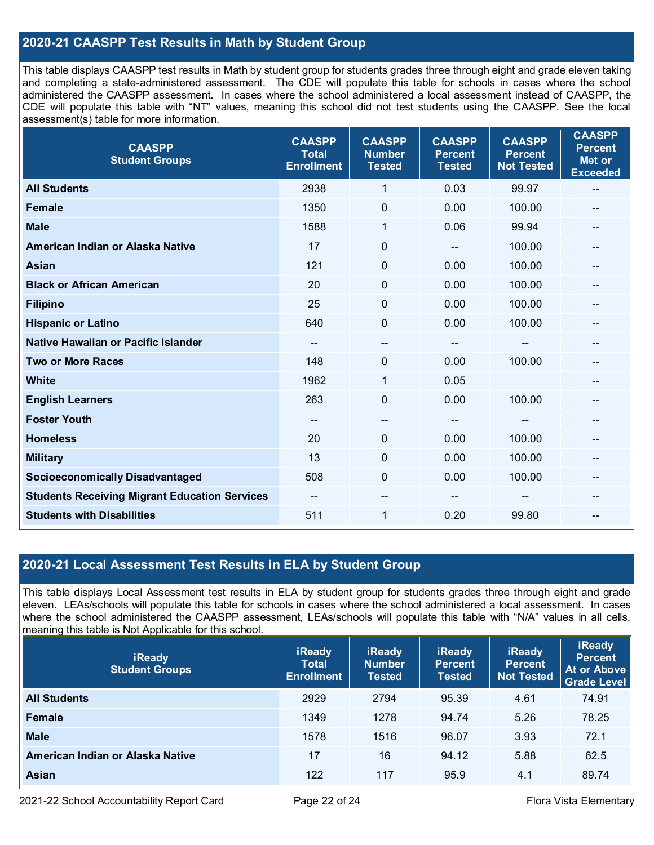## **2020-21 CAASPP Test Results in Math by Student Group**

This table displays CAASPP test results in Math by student group for students grades three through eight and grade eleven taking and completing a state-administered assessment. The CDE will populate this table for schools in cases where the school administered the CAASPP assessment. In cases where the school administered a local assessment instead of CAASPP, the CDE will populate this table with "NT" values, meaning this school did not test students using the CAASPP. See the local assessment(s) table for more information.

| <b>CAASPP</b><br><b>Student Groups</b>               | <b>CAASPP</b><br><b>Total</b><br><b>Enrollment</b> | <b>CAASPP</b><br><b>Number</b><br><b>Tested</b> | <b>CAASPP</b><br><b>Percent</b><br><b>Tested</b> | <b>CAASPP</b><br><b>Percent</b><br><b>Not Tested</b> | <b>CAASPP</b><br><b>Percent</b><br>Met or<br><b>Exceeded</b> |
|------------------------------------------------------|----------------------------------------------------|-------------------------------------------------|--------------------------------------------------|------------------------------------------------------|--------------------------------------------------------------|
| <b>All Students</b>                                  | 2938                                               | 1                                               | 0.03                                             | 99.97                                                | $-$                                                          |
| Female                                               | 1350                                               | $\mathbf 0$                                     | 0.00                                             | 100.00                                               |                                                              |
| <b>Male</b>                                          | 1588                                               | 1                                               | 0.06                                             | 99.94                                                | $\overline{a}$                                               |
| American Indian or Alaska Native                     | 17                                                 | $\pmb{0}$                                       |                                                  | 100.00                                               | --                                                           |
| <b>Asian</b>                                         | 121                                                | 0                                               | 0.00                                             | 100.00                                               | --                                                           |
| <b>Black or African American</b>                     | 20                                                 | $\mathbf 0$                                     | 0.00                                             | 100.00                                               |                                                              |
| <b>Filipino</b>                                      | 25                                                 | $\mathbf 0$                                     | 0.00                                             | 100.00                                               |                                                              |
| <b>Hispanic or Latino</b>                            | 640                                                | $\mathbf 0$                                     | 0.00                                             | 100.00                                               | --                                                           |
| Native Hawaiian or Pacific Islander                  | --                                                 | $\overline{\phantom{a}}$                        | --                                               | --                                                   | --                                                           |
| <b>Two or More Races</b>                             | 148                                                | 0                                               | 0.00                                             | 100.00                                               | --                                                           |
| White                                                | 1962                                               | 1                                               | 0.05                                             |                                                      | --                                                           |
| <b>English Learners</b>                              | 263                                                | 0                                               | 0.00                                             | 100.00                                               |                                                              |
| <b>Foster Youth</b>                                  | --                                                 | $\hspace{0.05cm}$ – $\hspace{0.05cm}$           | --                                               | $\mathbf{m}$                                         | --                                                           |
| <b>Homeless</b>                                      | 20                                                 | $\mathbf 0$                                     | 0.00                                             | 100.00                                               | --                                                           |
| <b>Military</b>                                      | 13                                                 | $\mathbf 0$                                     | 0.00                                             | 100.00                                               |                                                              |
| <b>Socioeconomically Disadvantaged</b>               | 508                                                | $\Omega$                                        | 0.00                                             | 100.00                                               | --                                                           |
| <b>Students Receiving Migrant Education Services</b> | --                                                 | --                                              |                                                  |                                                      |                                                              |
| <b>Students with Disabilities</b>                    | 511                                                | 1                                               | 0.20                                             | 99.80                                                | $-$                                                          |

## **2020-21 Local Assessment Test Results in ELA by Student Group**

This table displays Local Assessment test results in ELA by student group for students grades three through eight and grade eleven. LEAs/schools will populate this table for schools in cases where the school administered a local assessment. In cases where the school administered the CAASPP assessment, LEAs/schools will populate this table with "N/A" values in all cells, meaning this table is Not Applicable for this school.

| <b>iReady</b><br><b>Student Groups</b> | <b>iReady</b><br><b>Total</b><br><b>Enrollment</b> | <b>iReady</b><br><b>Number</b><br><b>Tested</b> | <b>iReady</b><br><b>Percent</b><br><b>Tested</b> | <b>iReady</b><br><b>Percent</b><br><b>Not Tested</b> | <b>iReady</b><br><b>Percent</b><br>At or Above<br><b>Grade Level</b> |
|----------------------------------------|----------------------------------------------------|-------------------------------------------------|--------------------------------------------------|------------------------------------------------------|----------------------------------------------------------------------|
| <b>All Students</b>                    | 2929                                               | 2794                                            | 95.39                                            | 4.61                                                 | 74.91                                                                |
| Female                                 | 1349                                               | 1278                                            | 94.74                                            | 5.26                                                 | 78.25                                                                |
| <b>Male</b>                            | 1578                                               | 1516                                            | 96.07                                            | 3.93                                                 | 72.1                                                                 |
| American Indian or Alaska Native       | 17                                                 | 16                                              | 94.12                                            | 5.88                                                 | 62.5                                                                 |
| <b>Asian</b>                           | 122                                                | 117                                             | 95.9                                             | 4.1                                                  | 89.74                                                                |

2021-22 School Accountability Report Card **Page 22 of 24** Page 22 of 24 Flora Vista Elementary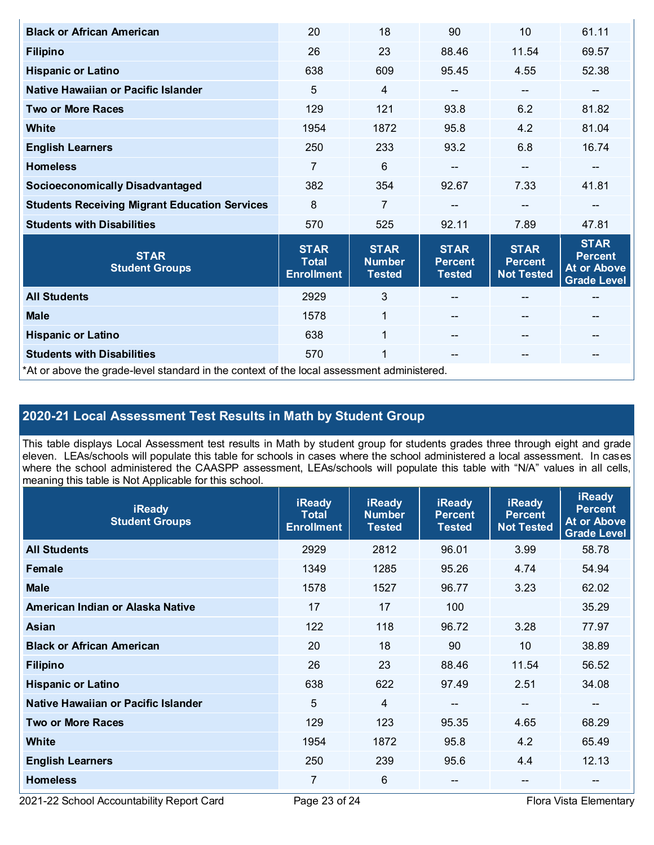| <b>Black or African American</b>                                                           | 20                                               | 18                                            | 90                                             | 10                                                 | 61.11                                                                     |  |
|--------------------------------------------------------------------------------------------|--------------------------------------------------|-----------------------------------------------|------------------------------------------------|----------------------------------------------------|---------------------------------------------------------------------------|--|
| <b>Filipino</b>                                                                            | 26                                               | 23                                            | 88.46                                          | 11.54                                              | 69.57                                                                     |  |
| <b>Hispanic or Latino</b>                                                                  | 638                                              | 609                                           | 95.45                                          | 4.55                                               | 52.38                                                                     |  |
| Native Hawaiian or Pacific Islander                                                        | 5                                                | $\overline{4}$                                | --                                             | $\qquad \qquad \blacksquare$                       | --                                                                        |  |
| <b>Two or More Races</b>                                                                   | 129                                              | 121                                           | 93.8                                           | 6.2                                                | 81.82                                                                     |  |
| <b>White</b>                                                                               | 1954                                             | 1872                                          | 95.8                                           | 4.2                                                | 81.04                                                                     |  |
| <b>English Learners</b>                                                                    | 250                                              | 233                                           | 93.2                                           | 6.8                                                | 16.74                                                                     |  |
| <b>Homeless</b>                                                                            | 7                                                | 6                                             | --                                             | $-$                                                | --                                                                        |  |
| <b>Socioeconomically Disadvantaged</b>                                                     | 382                                              | 354                                           | 92.67                                          | 7.33                                               | 41.81                                                                     |  |
| <b>Students Receiving Migrant Education Services</b>                                       | 8                                                | $\overline{7}$                                |                                                |                                                    |                                                                           |  |
| <b>Students with Disabilities</b>                                                          | 570                                              | 525                                           | 92.11                                          | 7.89                                               | 47.81                                                                     |  |
| <b>STAR</b><br><b>Student Groups</b>                                                       | <b>STAR</b><br><b>Total</b><br><b>Enrollment</b> | <b>STAR</b><br><b>Number</b><br><b>Tested</b> | <b>STAR</b><br><b>Percent</b><br><b>Tested</b> | <b>STAR</b><br><b>Percent</b><br><b>Not Tested</b> | <b>STAR</b><br><b>Percent</b><br><b>At or Above</b><br><b>Grade Level</b> |  |
| <b>All Students</b>                                                                        | 2929                                             | $\mathfrak{S}$                                |                                                |                                                    | --                                                                        |  |
| <b>Male</b>                                                                                | 1578                                             | $\mathbf{1}$                                  |                                                | $\qquad \qquad -$                                  | --                                                                        |  |
| <b>Hispanic or Latino</b>                                                                  | 638                                              | $\overline{1}$                                |                                                | $\qquad \qquad -$                                  | --                                                                        |  |
| <b>Students with Disabilities</b>                                                          | 570                                              | 1                                             | --                                             | $- -$                                              | --                                                                        |  |
| *At or above the grade-level standard in the context of the local assessment administered. |                                                  |                                               |                                                |                                                    |                                                                           |  |

## **2020-21 Local Assessment Test Results in Math by Student Group**

This table displays Local Assessment test results in Math by student group for students grades three through eight and grade eleven. LEAs/schools will populate this table for schools in cases where the school administered a local assessment. In cases where the school administered the CAASPP assessment, LEAs/schools will populate this table with "N/A" values in all cells, meaning this table is Not Applicable for this school.

| <b>iReady</b><br><b>Student Groups</b> | <b>iReady</b><br><b>Total</b><br><b>Enrollment</b> | <b>iReady</b><br><b>Number</b><br><b>Tested</b> | <b>iReady</b><br><b>Percent</b><br>Tested | <b>iReady</b><br><b>Percent</b><br><b>Not Tested</b> | <b>iReady</b><br><b>Percent</b><br><b>At or Above</b><br><b>Grade Level</b> |
|----------------------------------------|----------------------------------------------------|-------------------------------------------------|-------------------------------------------|------------------------------------------------------|-----------------------------------------------------------------------------|
| <b>All Students</b>                    | 2929                                               | 2812                                            | 96.01                                     | 3.99                                                 | 58.78                                                                       |
| Female                                 | 1349                                               | 1285                                            | 95.26                                     | 4.74                                                 | 54.94                                                                       |
| <b>Male</b>                            | 1578                                               | 1527                                            | 96.77                                     | 3.23                                                 | 62.02                                                                       |
| American Indian or Alaska Native       | 17                                                 | 17                                              | 100                                       |                                                      | 35.29                                                                       |
| <b>Asian</b>                           | 122                                                | 118                                             | 96.72                                     | 3.28                                                 | 77.97                                                                       |
| <b>Black or African American</b>       | 20                                                 | 18                                              | 90                                        | 10                                                   | 38.89                                                                       |
| <b>Filipino</b>                        | 26                                                 | 23                                              | 88.46                                     | 11.54                                                | 56.52                                                                       |
| <b>Hispanic or Latino</b>              | 638                                                | 622                                             | 97.49                                     | 2.51                                                 | 34.08                                                                       |
| Native Hawaiian or Pacific Islander    | 5                                                  | 4                                               | --                                        | --                                                   | --                                                                          |
| <b>Two or More Races</b>               | 129                                                | 123                                             | 95.35                                     | 4.65                                                 | 68.29                                                                       |
| White                                  | 1954                                               | 1872                                            | 95.8                                      | 4.2                                                  | 65.49                                                                       |
| <b>English Learners</b>                | 250                                                | 239                                             | 95.6                                      | 4.4                                                  | 12.13                                                                       |
| <b>Homeless</b>                        | 7                                                  | 6                                               | --                                        | --                                                   | --                                                                          |